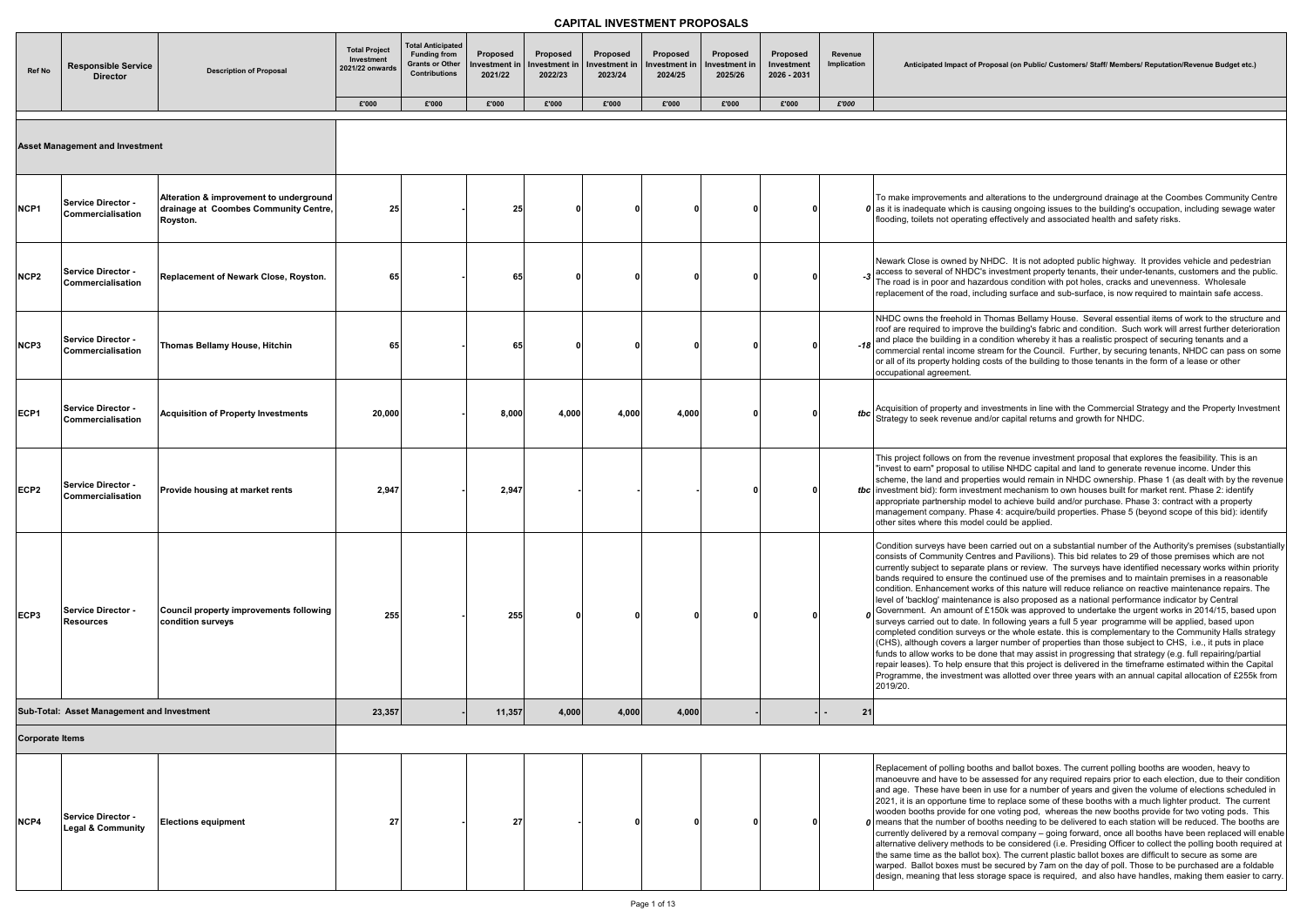| <b>Ref No</b>          | <b>Responsible Service</b><br><b>Director</b>             | <b>Description of Proposal</b>                                                               | <b>Total Project</b><br>Investment<br>2021/22 onwards | <b>Total Anticipated</b><br><b>Funding from</b><br><b>Grants or Other</b><br><b>Contributions</b> | <b>Proposed</b><br>Investment in<br>2021/22 | Proposed<br>Investment in<br>2022/23 | Proposed<br>Investment in<br>2023/24 | Proposed<br>Investment in<br>2024/25 | <b>Proposed</b><br>Investment in<br>2025/26 | Proposed<br>Investment<br>2026 - 2031 | Revenue<br>Implication | <b>Anticipated Impact of Pro</b>                                                                                                                                                                                                                                                                                                                                                                                                                        |
|------------------------|-----------------------------------------------------------|----------------------------------------------------------------------------------------------|-------------------------------------------------------|---------------------------------------------------------------------------------------------------|---------------------------------------------|--------------------------------------|--------------------------------------|--------------------------------------|---------------------------------------------|---------------------------------------|------------------------|---------------------------------------------------------------------------------------------------------------------------------------------------------------------------------------------------------------------------------------------------------------------------------------------------------------------------------------------------------------------------------------------------------------------------------------------------------|
|                        |                                                           |                                                                                              | £'000                                                 | £'000                                                                                             | £'000                                       | £'000                                | £'000                                | £'000                                | £'000                                       | £'000                                 | £'000                  |                                                                                                                                                                                                                                                                                                                                                                                                                                                         |
|                        | <b>Asset Management and Investment</b>                    |                                                                                              |                                                       |                                                                                                   |                                             |                                      |                                      |                                      |                                             |                                       |                        |                                                                                                                                                                                                                                                                                                                                                                                                                                                         |
| NCP1                   | <b>Service Director -</b><br>Commercialisation            | Alteration & improvement to underground<br>drainage at Coombes Community Centre,<br>Royston. | 25 <sub>l</sub>                                       |                                                                                                   | 25                                          |                                      | 0                                    | C                                    | $\Omega$                                    |                                       |                        | To make improvements and a<br>$\boldsymbol{0}$ as it is inadequate which is ca<br>flooding, toilets not operating                                                                                                                                                                                                                                                                                                                                       |
| NCP <sub>2</sub>       | Service Director -<br>Commercialisation                   | Replacement of Newark Close, Royston.                                                        | 65                                                    |                                                                                                   | 65                                          |                                      | n                                    |                                      |                                             |                                       |                        | Newark Close is owned by NI<br>$-3\overline{\smash{\big)}\,^{\text{access}}\,^{\text{to}}\,^{\text{in}}\,$<br>The road is in poor and hazar<br>replacement of the road, inclu                                                                                                                                                                                                                                                                           |
| NCP3                   | <b>Service Director -</b><br>Commercialisation            | Thomas Bellamy House, Hitchin                                                                | 65                                                    |                                                                                                   | 65                                          |                                      |                                      | O                                    |                                             |                                       |                        | NHDC owns the freehold in T<br>roof are required to improve t<br>-18 and place the building in a corrected and $\frac{1}{8}$<br>commercial rental income stre<br>or all of its property holding co<br>occupational agreement.                                                                                                                                                                                                                           |
| ECP1                   | <b>Service Director -</b><br>Commercialisation            | <b>Acquisition of Property Investments</b>                                                   | 20,000                                                |                                                                                                   | 8,000                                       | 4,000                                | 4,000                                | 4,000                                |                                             |                                       |                        | Strategy to seek revenue and                                                                                                                                                                                                                                                                                                                                                                                                                            |
| ECP <sub>2</sub>       | <b>Service Director -</b><br>Commercialisation            | Provide housing at market rents                                                              | 2,947                                                 |                                                                                                   | 2,947                                       |                                      |                                      |                                      |                                             |                                       |                        | This project follows on from th<br>"invest to earn" proposal to ut<br>scheme, the land and propert<br>tbc investment bid): form investm<br>appropriate partnership mode<br>management company. Phas<br>other sites where this model o                                                                                                                                                                                                                   |
| ECP3                   | <b>Service Director -</b><br><b>Resources</b>             | Council property improvements following<br>condition surveys                                 | 255                                                   |                                                                                                   | 255                                         |                                      |                                      |                                      |                                             |                                       |                        | Condition surveys have been<br>consists of Community Centre<br>currently subject to separate p<br>bands required to ensure the<br>condition. Enhancement work<br>level of 'backlog' maintenance<br>$\sigma$ Government. An amount of £<br>surveys carried out to date. In<br>completed condition surveys<br>(CHS), although covers a larg<br>funds to allow works to be do<br>repair leases). To help ensure<br>Programme, the investment w<br>2019/20. |
|                        | Sub-Total: Asset Management and Investment                |                                                                                              | 23,357                                                |                                                                                                   | 11,357                                      | 4,000                                | 4,000                                | 4,000                                |                                             |                                       | 21                     |                                                                                                                                                                                                                                                                                                                                                                                                                                                         |
| <b>Corporate Items</b> |                                                           |                                                                                              |                                                       |                                                                                                   |                                             |                                      |                                      |                                      |                                             |                                       |                        |                                                                                                                                                                                                                                                                                                                                                                                                                                                         |
| NCP4                   | <b>Service Director -</b><br><b>Legal &amp; Community</b> | <b>Elections equipment</b>                                                                   | 27                                                    |                                                                                                   | 27                                          |                                      | ŋ                                    |                                      |                                             |                                       |                        | Replacement of polling booth<br>manoeuvre and have to be as<br>and age. These have been ir<br>2021, it is an opportune time<br>wooden booths provide for or<br>$\boldsymbol{0}$ means that the number of bod<br>currently delivered by a remov<br>alternative delivery methods t<br>the same time as the ballot bo<br>warped. Ballot boxes must be<br>design, meaning that less sto                                                                     |

**Posal (on Public/ Customers/ Staff/ Members/ Reputation/Revenue Budget etc.)** 

alterations to the underground drainage at the Coombes Community Centre ausing ongoing issues to the building's occupation, including sewage water effectively and associated health and safety risks.

HDC. It is not adopted public highway. It provides vehicle and pedestrian investment property tenants, their under-tenants, customers and the public. rdous condition with pot holes, cracks and unevenness. Wholesale  $r$  ading surface and sub-surface, is now required to maintain safe access.

homas Bellamy House. Several essential items of work to the structure and he building's fabric and condition. Such work will arrest further deterioration ndition whereby it has a realistic prospect of securing tenants and a eam for the Council. Further, by securing tenants, NHDC can pass on some osts of the building to those tenants in the form of a lease or other

vestments in line with the Commercial Strategy and the Property Investment I/or capital returns and growth for NHDC.

he revenue investment proposal that explores the feasibility. This is an tilise NHDC capital and land to generate revenue income. Under this ties would remain in NHDC ownership. Phase 1 (as dealt with by the revenue ient mechanism to own houses built for market rent. Phase 2: identify al to achieve build and/or purchase. Phase 3: contract with a property  $\mathfrak{se}$  4: acquire/build properties. Phase 5 (beyond scope of this bid): identify could be applied.

carried out on a substantial number of the Authority's premises (substantially es and Pavilions). This bid relates to 29 of those premises which are not plans or review. The surveys have identified necessary works within priority continued use of the premises and to maintain premises in a reasonable ks of this nature will reduce reliance on reactive maintenance repairs. The e is also proposed as a national performance indicator by Central  $2150$ k was approved to undertake the urgent works in 2014/15, based upon i following years a full 5 year programme will be applied, based upon or the whole estate. this is complementary to the Community Halls strategy ger number of properties than those subject to CHS, i.e., it puts in place  $\frac{1}{\pi}$  ne that may assist in progressing that strategy (e.g. full repairing/partial e that this project is delivered in the timeframe estimated within the Capital vas allotted over three years with an annual capital allocation of £255k  $^\mathsf{r}_\mathsf{from}$ 

is and ballot boxes. The current polling booths are wooden, heavy to ssessed for any required repairs prior to each election, due to their condition n use for a number of years and given the volume of elections scheduled in to replace some of these booths with a much lighter product. The current ne voting pod, whereas the new booths provide for two voting pods. This oths needing to be delivered to each station will be reduced. The booths are val company – going forward, once all booths have been replaced will enable to be considered (i.e. Presiding Officer to collect the polling booth required at ox). The current plastic ballot boxes are difficult to secure as some are e secured by 7am on the day of poll. Those to be purchased are a foldable rage space is required, and also have handles, making them easier to carry.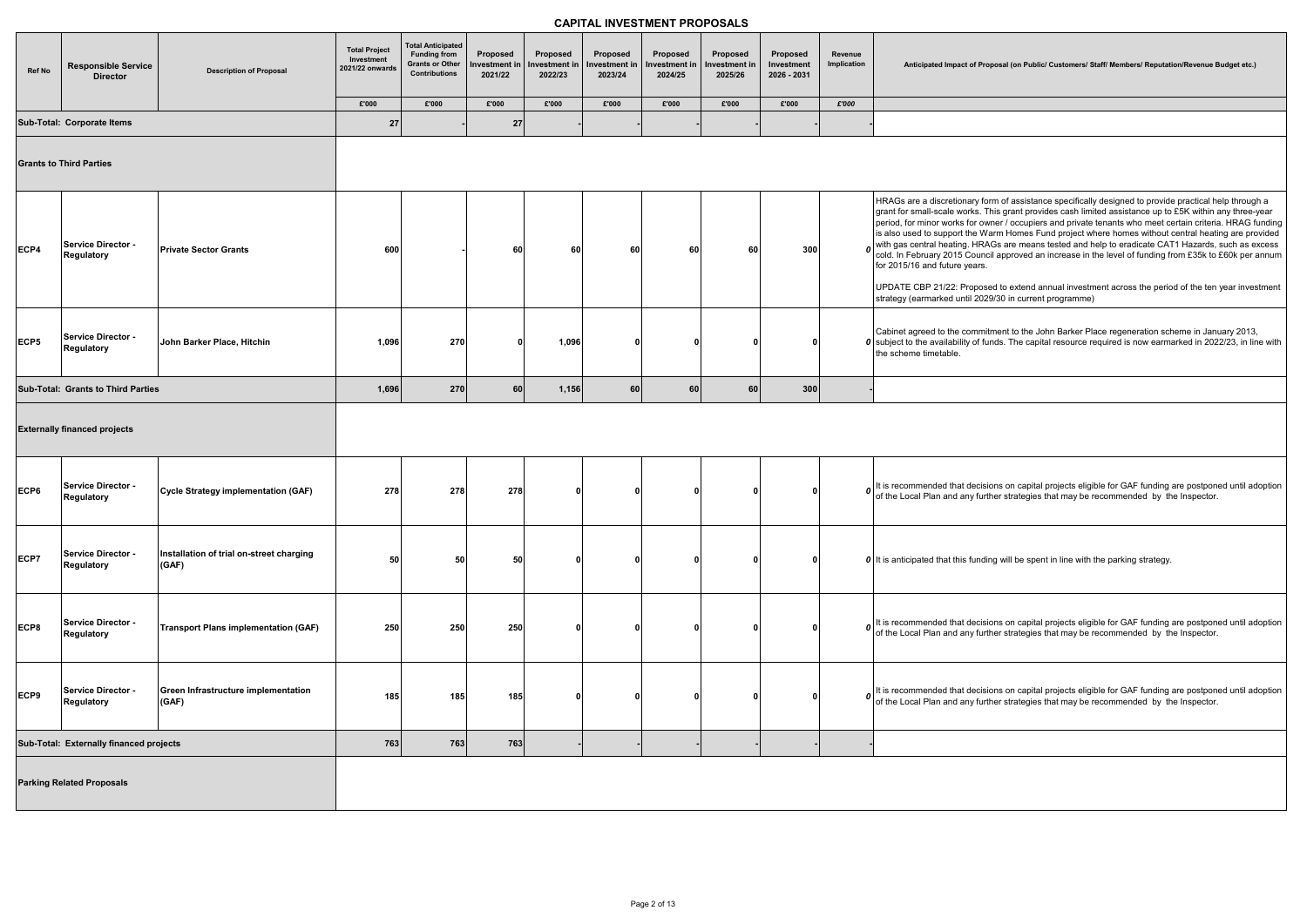|  |  |  | Anticipated Impact of Proposal (on Public/ Customers/ Staff/ Members/ Reputation/Revenue Budget etc.) |  |
|--|--|--|-------------------------------------------------------------------------------------------------------|--|
|  |  |  |                                                                                                       |  |
|  |  |  |                                                                                                       |  |

form of assistance specifically designed to provide practical help through a This grant provides cash limited assistance up to £5K within any three-year wner / occupiers and private tenants who meet certain criteria. HRAG funding Warm Homes Fund project where homes without central heating are provided  $R\overline{A}$ Gs are means tested and help to eradicate CAT1 Hazards, such as excess ncil approved an increase in the level of funding from £35k to £60k per annum

ised to extend annual investment across the period of the ten year investment 029/30 in current programme)

nitment to the John Barker Place regeneration scheme in January 2013, funds. The capital resource required is now earmarked in 2022/23, in line with

isions on capital projects eligible for GAF funding are postponed until adoption irther strategies that may be recommended by the Inspector.

| Ref No | <b>Responsible Service</b><br><b>Director</b> | <b>Description of Proposal</b>                    | <b>Total Project</b><br>Investment<br>2021/22 onwards<br>£'000 | <b>Total Anticipated</b><br><b>Funding from</b><br><b>Grants or Other</b><br><b>Contributions</b><br>£'000 | Proposed<br>Investment in<br>2021/22<br>£'000 | Proposed<br>Investment in<br>2022/23<br>£'000 | Proposed<br>Investment in<br>2023/24<br>£'000 | Proposed<br>Investment in<br>2024/25<br>£'000 | Proposed<br>Investment in<br>2025/26<br>£'000 | Proposed<br>Investment<br>2026 - 2031<br>£'000 | Revenue<br>Implication<br>£'000 | Anticipated Impact of Pr                                                                                                                                                                                            |
|--------|-----------------------------------------------|---------------------------------------------------|----------------------------------------------------------------|------------------------------------------------------------------------------------------------------------|-----------------------------------------------|-----------------------------------------------|-----------------------------------------------|-----------------------------------------------|-----------------------------------------------|------------------------------------------------|---------------------------------|---------------------------------------------------------------------------------------------------------------------------------------------------------------------------------------------------------------------|
|        | Sub-Total: Corporate Items                    |                                                   |                                                                |                                                                                                            |                                               |                                               |                                               |                                               |                                               |                                                |                                 |                                                                                                                                                                                                                     |
|        | <b>Grants to Third Parties</b>                |                                                   | 27                                                             |                                                                                                            | 27                                            |                                               |                                               |                                               |                                               |                                                |                                 |                                                                                                                                                                                                                     |
| ECP4   | Service Director -<br><b>Regulatory</b>       | <b>Private Sector Grants</b>                      | 600                                                            |                                                                                                            | 60                                            | 60                                            | 60                                            | 60                                            | 60                                            | 300                                            |                                 | HRAGs are a discretionary fo<br>grant for small-scale works. 7<br>period, for minor works for ov<br>is also used to support the W<br>$\boldsymbol{0}$ with gas central heating. HR<br>for 2015/16 and future years. |
|        |                                               |                                                   |                                                                |                                                                                                            |                                               |                                               |                                               |                                               |                                               |                                                |                                 | UPDATE CBP 21/22: Propos<br>strategy (earmarked until 202                                                                                                                                                           |
| ECP5   | Service Director -<br>Regulatory              | John Barker Place, Hitchin                        | 1,096                                                          | 270                                                                                                        | 0                                             | 1,096                                         | 0                                             | <sup>0</sup>                                  | ŋ                                             | o                                              |                                 | Cabinet agreed to the commi<br>$\boldsymbol{0}$ subject to the availability of fu<br>the scheme timetable.                                                                                                          |
|        | Sub-Total: Grants to Third Parties            |                                                   | 1,696                                                          | 270                                                                                                        | 60                                            | 1,156                                         | 60                                            | 60                                            | 60                                            | 300                                            |                                 |                                                                                                                                                                                                                     |
|        | <b>Externally financed projects</b>           |                                                   |                                                                |                                                                                                            |                                               |                                               |                                               |                                               |                                               |                                                |                                 |                                                                                                                                                                                                                     |
| ECP6   | Service Director -<br><b>Regulatory</b>       | Cycle Strategy implementation (GAF)               | 278                                                            | 278                                                                                                        | 278                                           |                                               | 0                                             | n                                             |                                               |                                                |                                 | $\boldsymbol{v}$ It is recommended that decis<br>of the Local Plan and any fur                                                                                                                                      |
| ECP7   | Service Director -<br><b>Regulatory</b>       | Installation of trial on-street charging<br>(GAF) | 50                                                             | 50                                                                                                         | 50                                            | 0                                             | 0                                             | $\mathbf{0}$                                  | 0                                             | $\mathbf{0}$                                   |                                 | <b>0</b> It is anticipated that this fund                                                                                                                                                                           |
| ECP8   | Service Director -<br><b>Regulatory</b>       | Transport Plans implementation (GAF)              | 250                                                            | 250                                                                                                        | 250                                           |                                               | 0                                             | 0                                             |                                               |                                                |                                 | $\boldsymbol{v}$ It is recommended that decis<br>of the Local Plan and any fur                                                                                                                                      |
| ECP9   | Service Director -<br><b>Regulatory</b>       | Green Infrastructure implementation<br>(GAF)      | 185                                                            | 185                                                                                                        | 185                                           |                                               | 0                                             | <sup>0</sup>                                  |                                               |                                                |                                 | $\boldsymbol{o}$ It is recommended that decis<br>of the Local Plan and any fur                                                                                                                                      |
|        | Sub-Total: Externally financed projects       |                                                   | 763                                                            | 763                                                                                                        | 763                                           |                                               |                                               |                                               |                                               |                                                |                                 |                                                                                                                                                                                                                     |
|        | <b>Parking Related Proposals</b>              |                                                   |                                                                |                                                                                                            |                                               |                                               |                                               |                                               |                                               |                                                |                                 |                                                                                                                                                                                                                     |

**(GAF) 50 50 50 <sup>0</sup> <sup>0</sup> <sup>0</sup> <sup>0</sup> <sup>0</sup>** *<sup>0</sup>* It is anticipated that this funding will be spent in line with the parking strategy.

isions on capital projects eligible for GAF funding are postponed until adoption irther strategies that may be recommended by the Inspector.

isions on capital projects eligible for GAF funding are postponed until adoption irther strategies that may be recommended by the Inspector.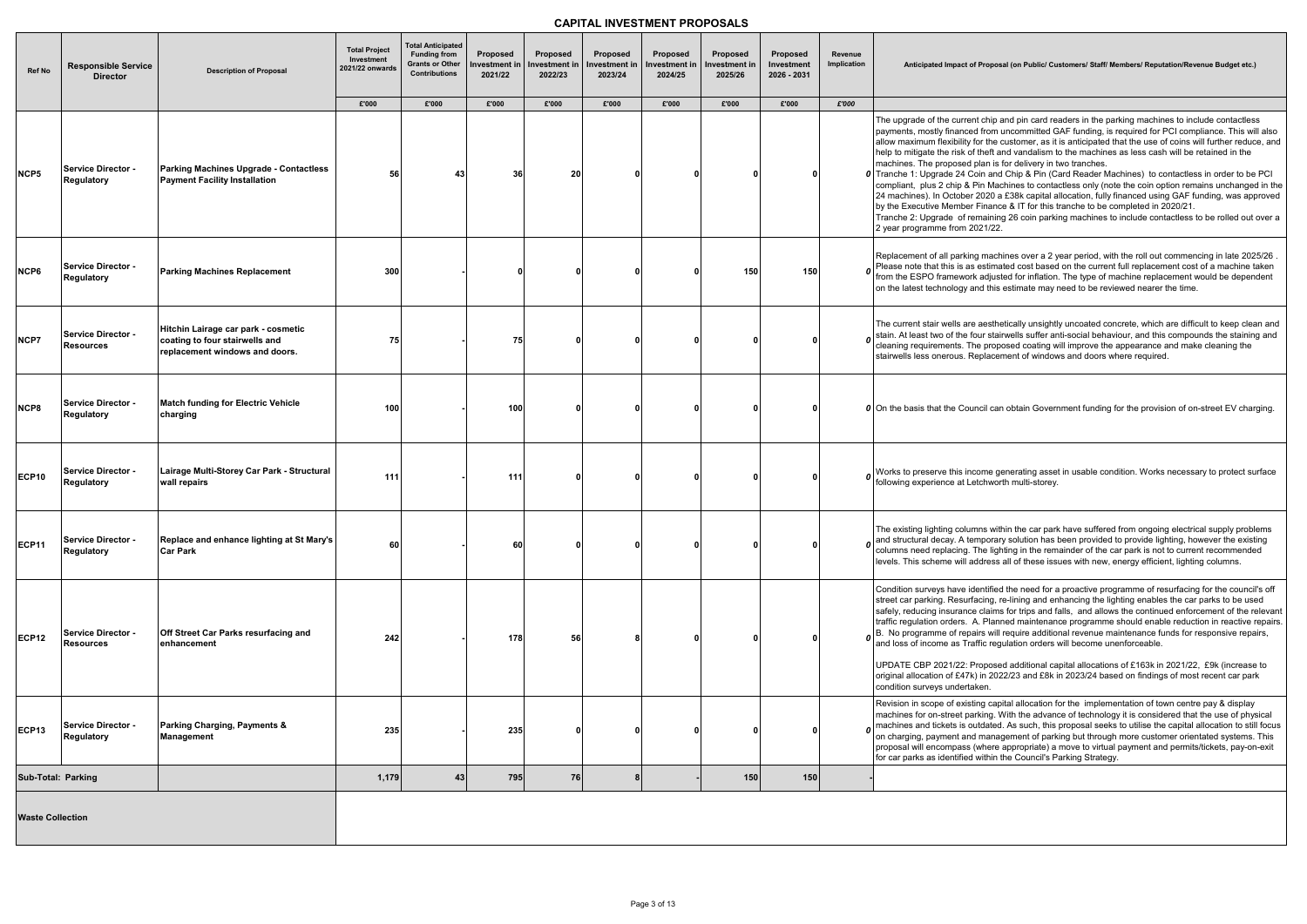#### **Anticipated Impact of Proposal (on Public/ Customers/ Staff/ Members/ Reputation/Revenue Budget etc.)**

hip and pin card readers in the parking machines to include contactless rom uncommitted GAF funding, is required for PCI compliance. This will also the customer, as it is anticipated that the use of coins will further reduce, and eft and vandalism to the machines as less cash will be retained in the an is for delivery in two tranches.

and Chip & Pin (Card Reader Machines) to contactless in order to be PCI Machines to contactless only (note the coin option remains unchanged in the 20 a £38k capital allocation, fully financed using GAF funding, was approved hance & IT for this tranche to be completed in 2020/21.

 $\sin$ ining 26 coin parking machines to include contactless to be rolled out over a  $1/22.$ 

 $n$ achines over a 2 year period, with the roll out commencing in late 2025/26 . timated cost based on the current full replacement cost of a machine taken djusted for inflation. The type of machine replacement would be dependent this estimate may need to be reviewed nearer the time.

esthetically unsightly uncoated concrete, which are difficult to keep clean and stairwells suffer anti-social behaviour, and this compounds the staining and proposed coating will improve the appearance and make cleaning the acement of windows and doors where required.

| Ref No                  | <b>Responsible Service</b><br><b>Director</b>  | <b>Description of Proposal</b>                                                                          | <b>Total Project</b><br>Investment<br>2021/22 onwards | <b>Total Anticipated</b><br><b>Funding from</b><br><b>Grants or Other</b><br><b>Contributions</b> | Proposed<br>Investment in<br>2021/22 | Proposed<br>Investment in<br>2022/23 | Proposed<br>Investment in<br>2023/24 | Proposed<br>Investment in<br>2024/25 | Proposed<br>Investment in<br>2025/26 | Proposed<br>Investment<br>2026 - 2031 | Revenue<br>Implication | Anticipated Impact of Pro                                                                                                                                                                                                                                                                                                                                               |
|-------------------------|------------------------------------------------|---------------------------------------------------------------------------------------------------------|-------------------------------------------------------|---------------------------------------------------------------------------------------------------|--------------------------------------|--------------------------------------|--------------------------------------|--------------------------------------|--------------------------------------|---------------------------------------|------------------------|-------------------------------------------------------------------------------------------------------------------------------------------------------------------------------------------------------------------------------------------------------------------------------------------------------------------------------------------------------------------------|
|                         |                                                |                                                                                                         | £'000                                                 | £'000                                                                                             | £'000                                | £'000                                | £'000                                | £'000                                | £'000                                | £'000                                 | £'000                  |                                                                                                                                                                                                                                                                                                                                                                         |
| NCP5                    | Service Director -<br><b>Regulatory</b>        | Parking Machines Upgrade - Contactless<br><b>Payment Facility Installation</b>                          | 56                                                    | 43                                                                                                | 36                                   | 20                                   | O                                    |                                      |                                      |                                       |                        | The upgrade of the current ch<br>payments, mostly financed fro<br>allow maximum flexibility for th<br>help to mitigate the risk of the<br>machines. The proposed plan<br>0 Tranche 1: Upgrade 24 Coin a<br>compliant, plus 2 chip & Pin M<br>24 machines). In October 202<br>by the Executive Member Fina<br>Tranche 2: Upgrade of remai<br>2 year programme from 2021/ |
| NCP6                    | <b>Service Director -</b><br><b>Regulatory</b> | <b>Parking Machines Replacement</b>                                                                     | 300                                                   |                                                                                                   | $\mathbf{0}$                         |                                      |                                      |                                      | 150                                  | 150                                   |                        | Replacement of all parking ma<br>Please note that this is as esti<br>from the ESPO framework adj<br>on the latest technology and t                                                                                                                                                                                                                                      |
| NCP7                    | Service Director -<br><b>Resources</b>         | Hitchin Lairage car park - cosmetic<br>coating to four stairwells and<br>replacement windows and doors. | 75                                                    |                                                                                                   | 75                                   |                                      | $\Omega$                             |                                      |                                      |                                       |                        | The current stair wells are aes<br>$\boldsymbol{0}$ stain. At least two of the four s<br>cleaning requirements. The pr<br>stairwells less onerous. Repla                                                                                                                                                                                                                |
| NCP8                    | <b>Service Director -</b><br><b>Regulatory</b> | <b>Match funding for Electric Vehicle</b><br>charging                                                   | 100                                                   |                                                                                                   | 100                                  | 0                                    | $\Omega$                             | ŋ                                    | O                                    | O                                     |                        | <b>0</b> On the basis that the Council                                                                                                                                                                                                                                                                                                                                  |
| <b>ECP10</b>            | Service Director -<br>Regulatory               | Lairage Multi-Storey Car Park - Structural<br>wall repairs                                              | 111                                                   |                                                                                                   | 111                                  |                                      | O                                    |                                      |                                      | O                                     |                        | <b>0</b> Works to preserve this income<br>following experience at Letchy                                                                                                                                                                                                                                                                                                |
| <b>ECP11</b>            | <b>Service Director -</b><br>Regulatory        | Replace and enhance lighting at St Mary's<br><b>Car Park</b>                                            | 60                                                    |                                                                                                   | 60                                   | 0                                    | $\Omega$                             |                                      | n                                    | 0                                     |                        | The existing lighting columns<br>$\boldsymbol{o}$ and structural decay. A tempo<br>columns need replacing. The<br>levels. This scheme will addre                                                                                                                                                                                                                        |
| <b>ECP12</b>            | <b>Service Director -</b><br><b>Resources</b>  | Off Street Car Parks resurfacing and<br>enhancement                                                     | 242                                                   |                                                                                                   | 178                                  | 56                                   | 8                                    |                                      | ŋ                                    |                                       |                        | Condition surveys have identi<br>street car parking. Resurfacing<br>safely, reducing insurance cla<br>traffic regulation orders. A. PI<br>$\boldsymbol{o}$ $\begin{bmatrix} B. & No\text{ programme of repairs}\end{bmatrix}$ and loss of income as Traffic<br>UPDATE CBP 2021/22: Propo<br>original allocation of £47k) in 2                                           |
| <b>ECP13</b>            | <b>Service Director -</b><br>Regulatory        | Parking Charging, Payments &<br><b>Management</b>                                                       | 235                                                   |                                                                                                   | 235                                  | $\bf{0}$                             | $\mathbf{0}$                         |                                      | n                                    | 0                                     |                        | condition surveys undertaken.<br>Revision in scope of existing o<br>machines for on-street parking<br>$\sigma$ machines and tickets is outda<br>on charging, payment and ma<br>proposal will encompass (whe<br>for car parks as identified with                                                                                                                         |
| Sub-Total: Parking      |                                                |                                                                                                         | 1,179                                                 | 43                                                                                                | 795                                  | 76                                   | 8                                    |                                      | 150                                  | 150                                   |                        |                                                                                                                                                                                                                                                                                                                                                                         |
| <b>Waste Collection</b> |                                                |                                                                                                         |                                                       |                                                                                                   |                                      |                                      |                                      |                                      |                                      |                                       |                        |                                                                                                                                                                                                                                                                                                                                                                         |

**charging 100 - 100 <sup>0</sup> <sup>0</sup> <sup>0</sup> <sup>0</sup> <sup>0</sup>** *<sup>0</sup>* On the basis that the Council can obtain Government funding for the provision of on-street EV charging.

ne generating asset in usable condition. Works necessary to protect surface hworth multi-storey.

within the car park have suffered from ongoing electrical supply problems orary solution has been provided to provide lighting, however the existing lighting in the remainder of the car park is not to current recommended ress all of these issues with new, energy efficient, lighting columns.

tified the need for a proactive programme of resurfacing for the council's off ng, re-lining and enhancing the lighting enables the car parks to be used aims for trips and falls, and allows the continued enforcement of the relevant Planned maintenance programme should enable reduction in reactive repairs. will require additional revenue maintenance funds for responsive repairs,  $\alpha$  requlation orders will become unenforceable.

 $100$  posed additional capital allocations of £163k in 2021/22, £9k (increase to 2022/23 and £8k in 2023/24 based on findings of most recent car park

capital allocation for the implementation of town centre pay & display ng. With the advance of technology it is considered that the use of physical ated. As such, this proposal seeks to utilise the capital allocation to still focus anagement of parking but through more customer orientated systems. This nere appropriate) a move to virtual payment and permits/tickets, pay-on-exit hin the Council's Parking Strategy.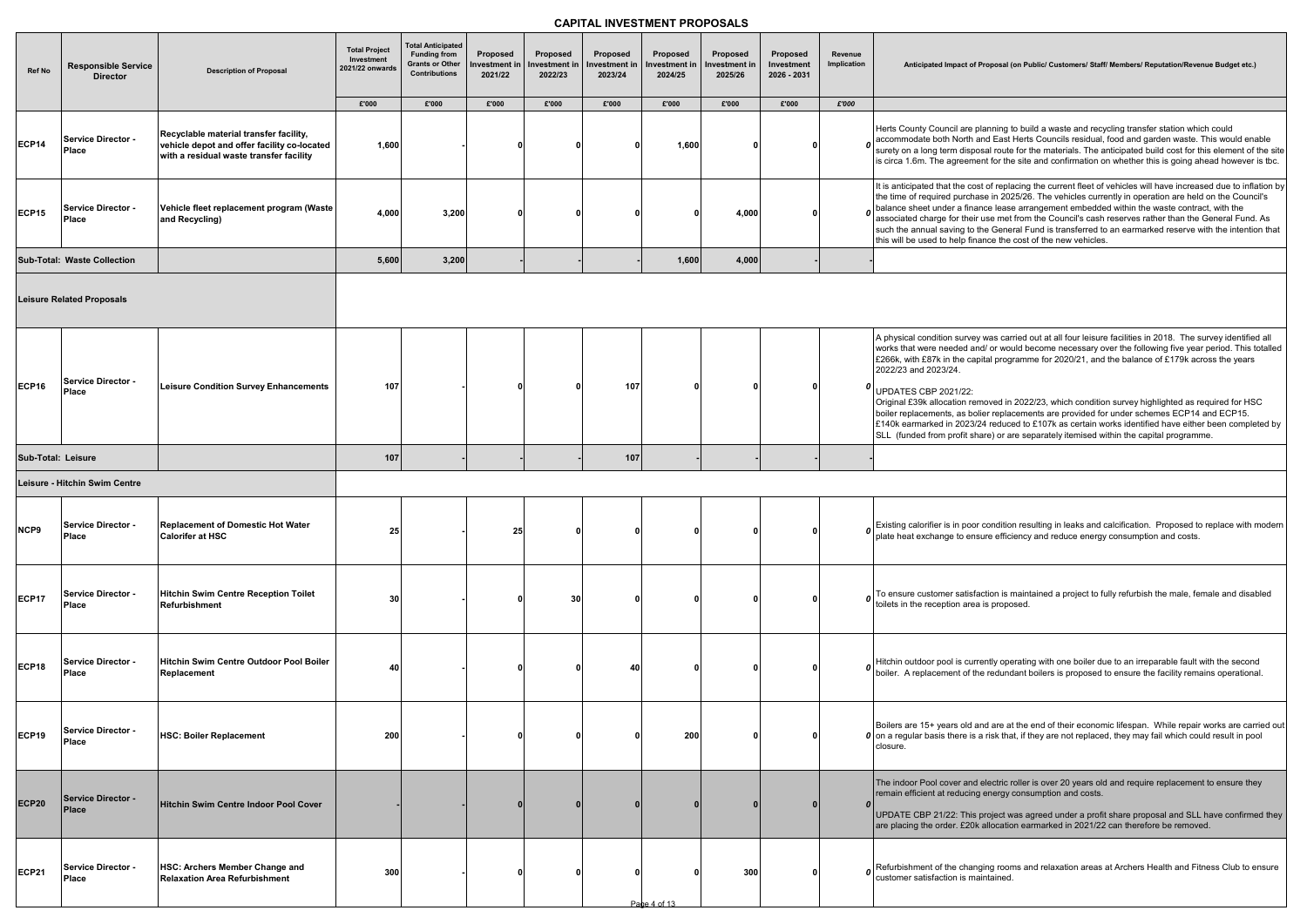| Ref No             | <b>Responsible Service</b><br><b>Director</b> | <b>Description of Proposal</b>                                                                                                   | <b>Total Project</b><br>Investment<br>2021/22 onwards | <b>Total Anticipated</b><br><b>Funding from</b><br><b>Grants or Other</b><br><b>Contributions</b> | Proposed<br>Investment in<br>2021/22 | Proposed<br>Investment in<br>2022/23 | Proposed<br>Investment in<br>2023/24 | Proposed<br>Investment in<br>2024/25 | Proposed<br>nvestment in<br>2025/26 | Proposed<br>Investment<br>2026 - 2031 | Revenue<br>Implication | Anticipated Impact of Pr                                                                                                                                                                                                                            |
|--------------------|-----------------------------------------------|----------------------------------------------------------------------------------------------------------------------------------|-------------------------------------------------------|---------------------------------------------------------------------------------------------------|--------------------------------------|--------------------------------------|--------------------------------------|--------------------------------------|-------------------------------------|---------------------------------------|------------------------|-----------------------------------------------------------------------------------------------------------------------------------------------------------------------------------------------------------------------------------------------------|
|                    |                                               |                                                                                                                                  | £'000                                                 | £'000                                                                                             | £'000                                | £'000                                | £'000                                | £'000                                | £'000                               | £'000                                 | £'000                  |                                                                                                                                                                                                                                                     |
| <b>ECP14</b>       | <b>Service Director -</b><br><b>Place</b>     | Recyclable material transfer facility,<br>vehicle depot and offer facility co-located<br>with a residual waste transfer facility | 1,600                                                 |                                                                                                   | n                                    |                                      |                                      | 1,600                                |                                     | $\mathbf 0$                           |                        | Herts County Council are pla<br>accommodate both North an<br>surety on a long term dispos<br>is circa 1.6m. The agreemen                                                                                                                            |
| <b>ECP15</b>       | Service Director -<br>Place                   | Vehicle fleet replacement program (Waste<br>and Recycling)                                                                       | 4,000                                                 | 3,200                                                                                             |                                      |                                      |                                      | U                                    | 4,000                               | $\mathbf{0}$                          |                        | It is anticipated that the cost<br>the time of required purchas<br>balance sheet under a finand<br>associated charge for their u<br>such the annual saving to the<br>this will be used to help finar                                                |
|                    | Sub-Total: Waste Collection                   |                                                                                                                                  | 5,600                                                 | 3,200                                                                                             |                                      |                                      |                                      | 1,600                                | 4,000                               |                                       |                        |                                                                                                                                                                                                                                                     |
|                    | <b>Leisure Related Proposals</b>              |                                                                                                                                  |                                                       |                                                                                                   |                                      |                                      |                                      |                                      |                                     |                                       |                        |                                                                                                                                                                                                                                                     |
| <b>ECP16</b>       | <b>Service Director -</b><br>Place            | <b>Leisure Condition Survey Enhancements</b>                                                                                     | 107                                                   |                                                                                                   |                                      |                                      | 107                                  |                                      |                                     | $\mathbf{0}$                          | O                      | A physical condition survey v<br>works that were needed and<br>£266k, with £87k in the capit<br>2022/23 and 2023/24.<br><b>UPDATES CBP 2021/22:</b><br>Original £39k allocation reme<br>boiler replacements, as bolie<br>£140k earmarked in 2023/24 |
| Sub-Total: Leisure |                                               |                                                                                                                                  | 107                                                   |                                                                                                   |                                      |                                      | 107                                  |                                      |                                     |                                       |                        | SLL (funded from profit shar                                                                                                                                                                                                                        |
|                    | Leisure - Hitchin Swim Centre                 |                                                                                                                                  |                                                       |                                                                                                   |                                      |                                      |                                      |                                      |                                     |                                       |                        |                                                                                                                                                                                                                                                     |
|                    |                                               |                                                                                                                                  |                                                       |                                                                                                   |                                      |                                      |                                      |                                      |                                     |                                       |                        |                                                                                                                                                                                                                                                     |
| NCP9               | <b>Service Director -</b><br>Place            | <b>Replacement of Domestic Hot Water</b><br>Calorifer at HSC                                                                     | 25                                                    |                                                                                                   | 25                                   |                                      |                                      |                                      |                                     | $\mathbf{0}$                          |                        | $\boldsymbol{o}$ Existing calorifier is in poor c<br>plate heat exchange to ensu                                                                                                                                                                    |
| <b>ECP17</b>       | Service Director -<br>Place                   | <b>Hitchin Swim Centre Reception Toilet</b><br>Refurbishment                                                                     | 30                                                    |                                                                                                   |                                      | 30                                   |                                      |                                      |                                     | $\mathbf{0}$                          |                        | To ensure customer satisfac<br>toilets in the reception area i                                                                                                                                                                                      |
| <b>ECP18</b>       | Service Director -<br>Place                   | Hitchin Swim Centre Outdoor Pool Boiler<br>Replacement                                                                           | 40                                                    |                                                                                                   |                                      |                                      | 40                                   |                                      |                                     | $\mathbf{0}$                          |                        | Hitchin outdoor pool is currel<br>boiler. A replacement of the                                                                                                                                                                                      |
| <b>ECP19</b>       | Service Director -<br>Place                   | <b>HSC: Boiler Replacement</b>                                                                                                   | 200                                                   |                                                                                                   |                                      |                                      |                                      | 200                                  |                                     | $\mathbf{0}$                          |                        | Boilers are 15+ years old an<br>$\boldsymbol{0}$ on a regular basis there is a<br>closure.                                                                                                                                                          |
| <b>ECP20</b>       | Service Director -<br><b>Place</b>            | Hitchin Swim Centre Indoor Pool Cover                                                                                            |                                                       |                                                                                                   |                                      |                                      |                                      |                                      |                                     | $\mathbf{0}$                          | 0                      | The indoor Pool cover and e<br>remain efficient at reducing e<br>UPDATE CBP 21/22: This pr<br>are placing the order. £20k a                                                                                                                         |
| <b>ECP21</b>       | Service Director -<br><b>Place</b>            | <b>HSC: Archers Member Change and</b><br><b>Relaxation Area Refurbishment</b>                                                    | 300                                                   |                                                                                                   |                                      |                                      |                                      | Page 4 of 13                         | 300                                 | $\mathbf{0}$                          | 0                      | Refurbishment of the changi<br>customer satisfaction is mair                                                                                                                                                                                        |
|                    |                                               |                                                                                                                                  |                                                       |                                                                                                   |                                      |                                      |                                      |                                      |                                     |                                       |                        |                                                                                                                                                                                                                                                     |

roposal (on Public/ Customers/ Staff/ Members/ Reputation/Revenue Budget etc.)

anning to build a waste and recycling transfer station which could  $\frac{3}{2}$ nd East Herts Councils residual, food and garden waste. This would enable sal route for the materials. The anticipated build cost for this element of the site nt for the site and confirmation on whether this is going ahead however is tbc.

It of replacing the current fleet of vehicles will have increased due to inflation by se in 2025/26. The vehicles currently in operation are held on the Council's ice lease arrangement embedded within the waste contract, with the use met from the Council's cash reserves rather than the General Fund. As ne General Fund is transferred to an earmarked reserve with the intention that nce the cost of the new vehicles.

was carried out at all four leisure facilities in 2018. The survey identified all d/ or would become necessary over the following five year period. This totalled tal programme for 2020/21, and the balance of £179k across the years

oved in 2022/23, which condition survey highlighted as required for HSC er replacements are provided for under schemes ECP14 and ECP15. 1 reduced to £107k as certain works identified have either been completed by are) or are separately itemised within the capital programme.

condition resulting in leaks and calcification. Proposed to replace with modern  $\overline{\phantom{a}}$  are efficiency and reduce energy consumption and costs.

ction is maintained a project to fully refurbish the male, female and disabled is proposed.

Intly operating with one boiler due to an irreparable fault with the second boiler. A redundant boilers is proposed to ensure the facility remains operational.

nd are at the end of their economic lifespan. While repair works are carried out risk that, if they are not replaced, they may fail which could result in pool

Hectric roller is over 20 years old and require replacement to ensure they energy consumption and costs.

roject was agreed under a profit share proposal and SLL have confirmed they allocation earmarked in 2021/22 can therefore be removed.

ing rooms and relaxation areas at Archers Health and Fitness Club to ensure ntained.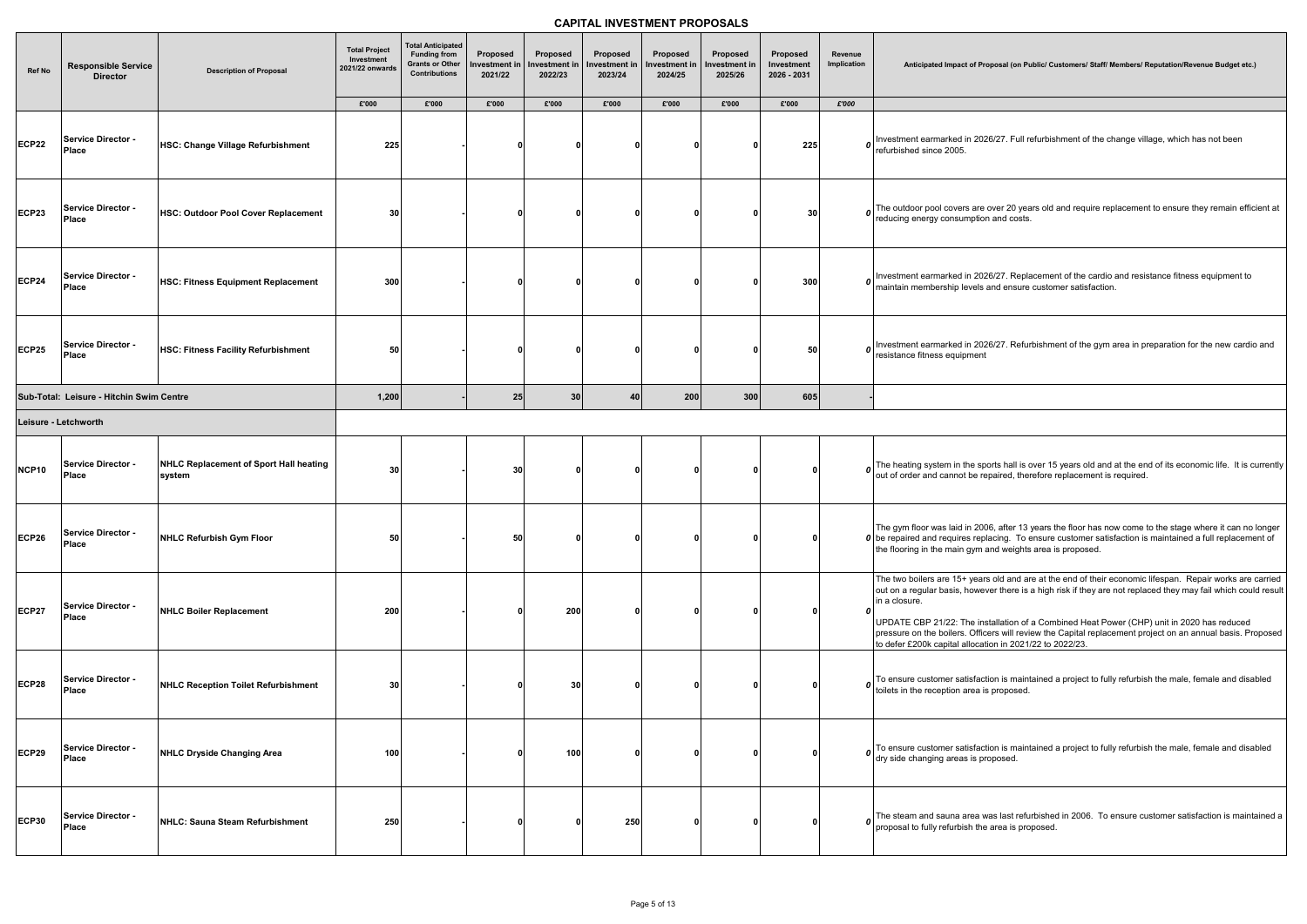| <b>Ref No</b>        | <b>Responsible Service</b><br><b>Director</b> | <b>Description of Proposal</b>                   | <b>Total Project</b><br>Investment<br>2021/22 onwards<br>£'000 | <b>Total Anticipated</b><br><b>Funding from</b><br><b>Grants or Other</b><br><b>Contributions</b><br>£'000 | Proposed<br>Investment in<br>2021/22<br>£'000 | Proposed<br>Investment ir<br>2022/23<br>£'000 | Proposed<br><b>Investment in</b><br>2023/24<br>£'000 | Proposed<br>Investment in<br>2024/25<br>£'000 | Proposed<br>Investment in<br>2025/26<br>£'000 | Proposed<br>Investment<br>2026 - 2031<br>£'000 | Revenue<br>Implication<br>£'000 | <b>Anticipated Impact of Pro</b>                                                                                                                                                  |
|----------------------|-----------------------------------------------|--------------------------------------------------|----------------------------------------------------------------|------------------------------------------------------------------------------------------------------------|-----------------------------------------------|-----------------------------------------------|------------------------------------------------------|-----------------------------------------------|-----------------------------------------------|------------------------------------------------|---------------------------------|-----------------------------------------------------------------------------------------------------------------------------------------------------------------------------------|
|                      |                                               |                                                  |                                                                |                                                                                                            |                                               |                                               |                                                      |                                               |                                               |                                                |                                 |                                                                                                                                                                                   |
| <b>ECP22</b>         | <b>Service Director -</b><br>Place            | HSC: Change Village Refurbishment                | 225                                                            |                                                                                                            | 0                                             |                                               | 0                                                    | O                                             |                                               | 225                                            |                                 | $\boldsymbol{o}$ Investment earmarked in 202<br>refurbished since 2005.                                                                                                           |
| <b>ECP23</b>         | <b>Service Director -</b><br><b>Place</b>     | HSC: Outdoor Pool Cover Replacement              | 30                                                             |                                                                                                            | n                                             |                                               | Ω                                                    | n                                             |                                               | 30                                             |                                 | <b>0</b> The outdoor pool covers are relevant pool covers are                                                                                                                     |
| <b>ECP24</b>         | <b>Service Director -</b><br>Place            | HSC: Fitness Equipment Replacement               | 300                                                            |                                                                                                            | -0                                            |                                               | 0                                                    | n                                             |                                               | 300                                            |                                 | $\boldsymbol{0}$ Investment earmarked in 202<br>maintain membership levels a                                                                                                      |
| <b>ECP25</b>         | <b>Service Director -</b><br><b>Place</b>     | HSC: Fitness Facility Refurbishment              | 50                                                             |                                                                                                            | 0                                             |                                               | O                                                    | n                                             |                                               | 50                                             |                                 | <b>0</b> Investment earmarked in 202<br>resistance fitness equipment                                                                                                              |
|                      | Sub-Total: Leisure - Hitchin Swim Centre      |                                                  | 1,200                                                          |                                                                                                            | 25                                            | 30 <sup>1</sup>                               | 40                                                   | 200                                           | 300                                           | 605                                            |                                 |                                                                                                                                                                                   |
| Leisure - Letchworth |                                               |                                                  |                                                                |                                                                                                            |                                               |                                               |                                                      |                                               |                                               |                                                |                                 |                                                                                                                                                                                   |
|                      |                                               |                                                  |                                                                |                                                                                                            |                                               |                                               |                                                      |                                               |                                               |                                                |                                 |                                                                                                                                                                                   |
| NCP10                | <b>Service Director -</b><br>Place            | NHLC Replacement of Sport Hall heating<br>system | 30                                                             |                                                                                                            | 30                                            | ŋ                                             | O                                                    | 0                                             |                                               | ŋ                                              |                                 | $\boldsymbol{o}$ The heating system in the specieve out of order and cannot be re                                                                                                 |
| <b>ECP26</b>         | Service Director -<br><b>Place</b>            | NHLC Refurbish Gym Floor                         | 50                                                             |                                                                                                            | 50                                            |                                               | 0                                                    | O                                             |                                               | U                                              |                                 | The gym floor was laid in 200<br>0 be repaired and requires repl<br>the flooring in the main gym a                                                                                |
| <b>ECP27</b>         | <b>Service Director -</b><br><b>Place</b>     | <b>NHLC Boiler Replacement</b>                   | 200                                                            |                                                                                                            | $\mathbf{0}$                                  | 200                                           | <sup>0</sup>                                         | n                                             |                                               | 0                                              | 0                               | The two boilers are 15+ years<br>out on a regular basis, howev<br>in a closure.<br>UPDATE CBP 21/22: The ins<br>pressure on the boilers. Offic<br>to defer £200k capital allocati |
| <b>ECP28</b>         | <b>Service Director -</b><br><b>Place</b>     | <b>NHLC Reception Toilet Refurbishment</b>       | 30                                                             |                                                                                                            |                                               | 30                                            | 0                                                    | n                                             |                                               |                                                |                                 | $\boldsymbol{0}$ To ensure customer satisfact<br>toilets in the reception area is                                                                                                 |
| <b>ECP29</b>         | <b>Service Director -</b><br>Place            | NHLC Dryside Changing Area                       | 100                                                            |                                                                                                            | -0                                            | 100                                           | O                                                    | O                                             |                                               |                                                |                                 | $\boldsymbol{o}$ To ensure customer satisfact<br>dry side changing areas is pre                                                                                                   |
| <b>ECP30</b>         | <b>Service Director -</b><br><b>Place</b>     | NHLC: Sauna Steam Refurbishment                  | 250                                                            |                                                                                                            | 0                                             |                                               | 250                                                  | 0                                             |                                               |                                                |                                 | $\boldsymbol{o}$ The steam and sauna area w<br>proposal to fully refurbish the                                                                                                    |

roposal (on Public/ Customers/ Staff/ Members/ Reputation/Revenue Budget etc.)

126/27. Full refurbishment of the change village, which has not been

the over 20 years old and require replacement to ensure they remain efficient at on and costs.

126/27. Replacement of the cardio and resistance fitness equipment to and ensure customer satisfaction.

126/27. Refurbishment of the gym area in preparation for the new cardio and

ports hall is over 15 years old and at the end of its economic life. It is currently repaired, therefore replacement is required.

 $006$ , after 13 years the floor has now come to the stage where it can no longer placing. To ensure customer satisfaction is maintained a full replacement of  $\frac{1}{1}$  and weights area is proposed.

irs old and are at the end of their economic lifespan. Repair works are carried ever there is a high risk if they are not replaced they may fail which could result

nstallation of a Combined Heat Power (CHP) unit in 2020 has reduced icers will review the Capital replacement project on an annual basis. Proposed ation in 2021/22 to 2022/23.

ction is maintained a project to fully refurbish the male, female and disabled is proposed.

ction is maintained a project to fully refurbish the male, female and disabled or oposed.

was last refurbished in 2006. To ensure customer satisfaction is maintained a e area is proposed.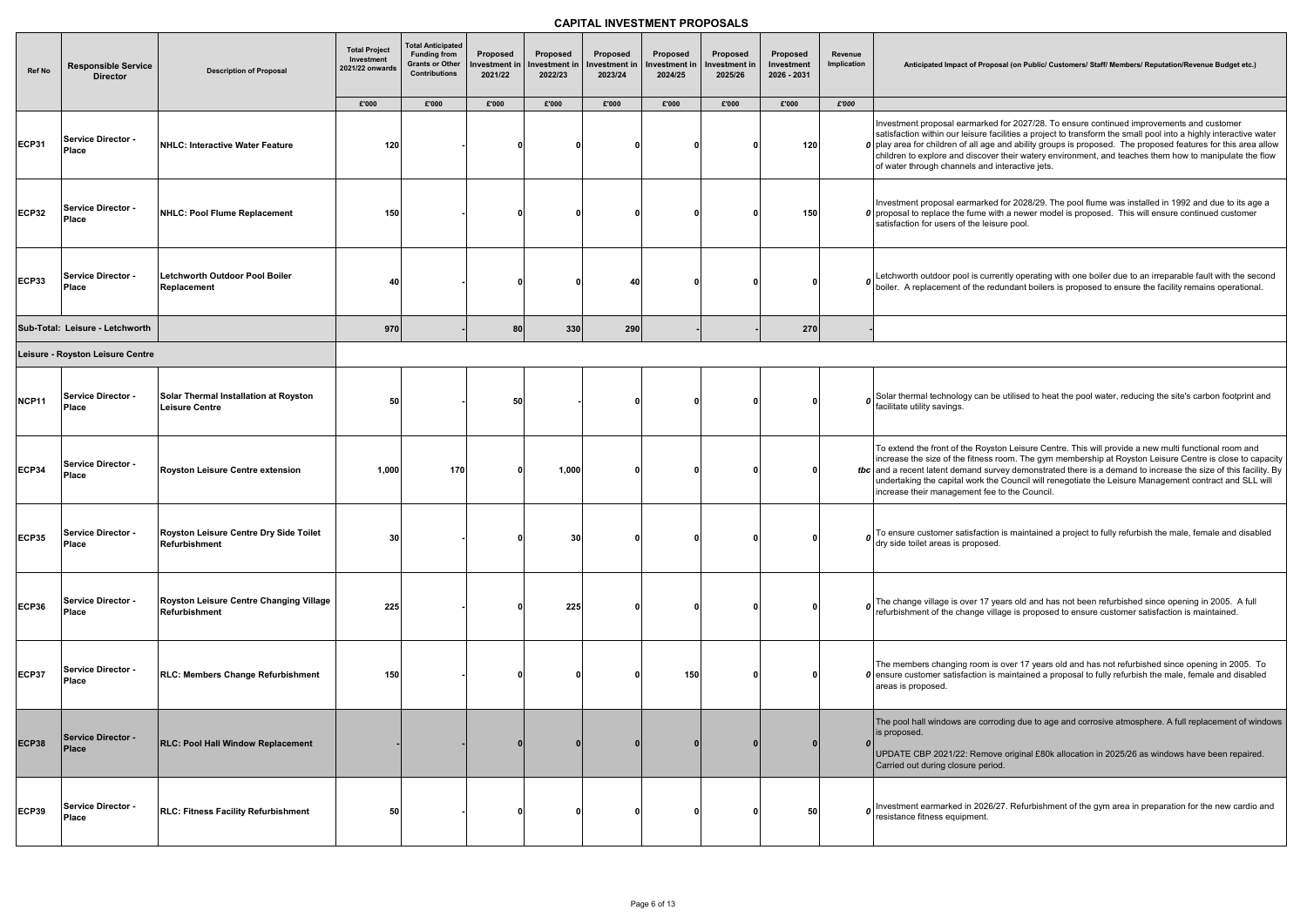| <b>Ref No</b> | <b>Responsible Service</b><br><b>Director</b> | <b>Description of Proposal</b>                                 | <b>Total Project</b><br>Investment<br>2021/22 onwards | <b>Total Anticipated</b><br><b>Funding from</b><br><b>Grants or Other</b><br><b>Contributions</b> | <b>Proposed</b><br>Investment in<br>2021/22 | Proposed<br>nvestment in<br>2022/23 | Proposed<br>nvestment in<br>2023/24 | Proposed<br>Investment ir<br>2024/25 | <b>Proposed</b><br>Investment in<br>2025/26 | Proposed<br>Investment<br>2026 - 2031 | Revenue<br>Implication | Anticipated Impact of Pro                                                                                                                                                             |
|---------------|-----------------------------------------------|----------------------------------------------------------------|-------------------------------------------------------|---------------------------------------------------------------------------------------------------|---------------------------------------------|-------------------------------------|-------------------------------------|--------------------------------------|---------------------------------------------|---------------------------------------|------------------------|---------------------------------------------------------------------------------------------------------------------------------------------------------------------------------------|
|               |                                               |                                                                | £'000                                                 | £'000                                                                                             | £'000                                       | £'000                               | £'000                               | £'000                                | £'000                                       | £'000                                 | £'000                  |                                                                                                                                                                                       |
| <b>ECP31</b>  | Service Director -<br><b>Place</b>            | NHLC: Interactive Water Feature                                | 120                                                   |                                                                                                   | 0                                           |                                     | 0                                   | n                                    |                                             | 120                                   |                        | Investment proposal earmark<br>satisfaction within our leisure<br>$\boldsymbol{0}$ play area for children of all ag<br>children to explore and discot<br>of water through channels an |
| <b>ECP32</b>  | <b>Service Director -</b><br>Place            | NHLC: Pool Flume Replacement                                   | 150                                                   |                                                                                                   |                                             |                                     | 0                                   |                                      |                                             | 150                                   |                        | Investment proposal earmark<br>$\boldsymbol{0}$ proposal to replace the fume<br>satisfaction for users of the le                                                                      |
| <b>ECP33</b>  | <b>Service Director -</b><br>Place            | Letchworth Outdoor Pool Boiler<br>Replacement                  | 40                                                    |                                                                                                   | 0                                           |                                     | 40                                  |                                      |                                             |                                       |                        | o Letchworth outdoor pool is cu<br>boiler. A replacement of the                                                                                                                       |
|               | Sub-Total: Leisure - Letchworth               |                                                                | 970                                                   |                                                                                                   | 80                                          | 330                                 | 290                                 |                                      |                                             | 270                                   |                        |                                                                                                                                                                                       |
|               | Leisure - Royston Leisure Centre              |                                                                |                                                       |                                                                                                   |                                             |                                     |                                     |                                      |                                             |                                       |                        |                                                                                                                                                                                       |
| NCP11         | Service Director -<br>Place                   | Solar Thermal Installation at Royston<br><b>Leisure Centre</b> | 50                                                    |                                                                                                   | 50                                          |                                     | 0                                   |                                      |                                             |                                       |                        | $\boldsymbol{o}$ Solar thermal technology can facilitate utility savings.                                                                                                             |
| <b>ECP34</b>  | Service Director -<br>Place                   | Royston Leisure Centre extension                               | 1,000                                                 | 170                                                                                               | 0                                           | 1,000                               | 0                                   | n                                    |                                             |                                       |                        | To extend the front of the Roy<br>increase the size of the fitnes<br>tbc and a recent latent demand s<br>undertaking the capital work t<br>increase their management f                |
| <b>ECP35</b>  | <b>Service Director -</b><br>Place            | Royston Leisure Centre Dry Side Toilet<br><b>Refurbishment</b> | 30                                                    |                                                                                                   |                                             | 30                                  | 0                                   |                                      |                                             |                                       |                        | $\boldsymbol{o}$ To ensure customer satisfact<br>dry side toilet areas is propos                                                                                                      |
| <b>ECP36</b>  | <b>Service Director -</b><br>Place            | Royston Leisure Centre Changing Village<br>Refurbishment       | 225                                                   |                                                                                                   | 0                                           | 225                                 | 0                                   |                                      |                                             |                                       |                        | $\boldsymbol{o}$ The change village is over 17<br>refurbishment of the change                                                                                                         |
| <b>ECP37</b>  | <b>Service Director -</b><br>Place            | RLC: Members Change Refurbishment                              | 150                                                   |                                                                                                   | 0                                           |                                     | 0                                   | 150                                  |                                             |                                       |                        | The members changing room<br>0 ensure customer satisfaction<br>areas is proposed.                                                                                                     |
| <b>ECP38</b>  | Service Director -<br>Place                   | RLC: Pool Hall Window Replacement                              |                                                       |                                                                                                   | 0                                           |                                     | 0                                   |                                      |                                             | $\bf{0}$                              | $\boldsymbol{0}$       | The pool hall windows are co<br>is proposed.<br>UPDATE CBP 2021/22: Rem<br>Carried out during closure pe                                                                              |
| <b>ECP39</b>  | Service Director -<br>Place                   | <b>RLC: Fitness Facility Refurbishment</b>                     | 50                                                    |                                                                                                   |                                             |                                     | 0                                   |                                      |                                             | 50                                    |                        | $\boldsymbol{0}$ Investment earmarked in 202<br>resistance fitness equipment.                                                                                                         |

#### roposal (on Public/ Customers/ Staff/ Members/ Reputation/Revenue Budget etc.)

rked for 2027/28. To ensure continued improvements and customer e facilities a project to transform the small pool into a highly interactive water age and ability groups is proposed. The proposed features for this area allow over their watery environment, and teaches them how to manipulate the flow nd interactive jets.

rked for 2028/29. The pool flume was installed in 1992 and due to its age a  $\stackrel{\cdot}{\text{e}}$  with a newer model is proposed. This will ensure continued customer leisure pool.

currently operating with one boiler due to an irreparable fault with the second boiler. A redundant boilers is proposed to ensure the facility remains operational.

In be utilised to heat the pool water, reducing the site's carbon footprint and

oyston Leisure Centre. This will provide a new multi functional room and ess room. The gym membership at Royston Leisure Centre is close to capacity survey demonstrated there is a demand to increase the size of this facility. By  $\kappa$  the Council will renegotiate the Leisure Management contract and SLL will fee to the Council.

ction is maintained a project to fully refurbish the male, female and disabled osed.

The change is old and has not been refurbished since opening in 2005. A full village is proposed to ensure customer satisfaction is maintained.

m is over 17 years old and has not refurbished since opening in 2005. To  $\alpha$  is maintained a proposal to fully refurbish the male, female and disabled

orroding due to age and corrosive atmosphere. A full replacement of windows

move original £80k allocation in 2025/26 as windows have been repaired. eriod.

126/27. Refurbishment of the gym area in preparation for the new cardio and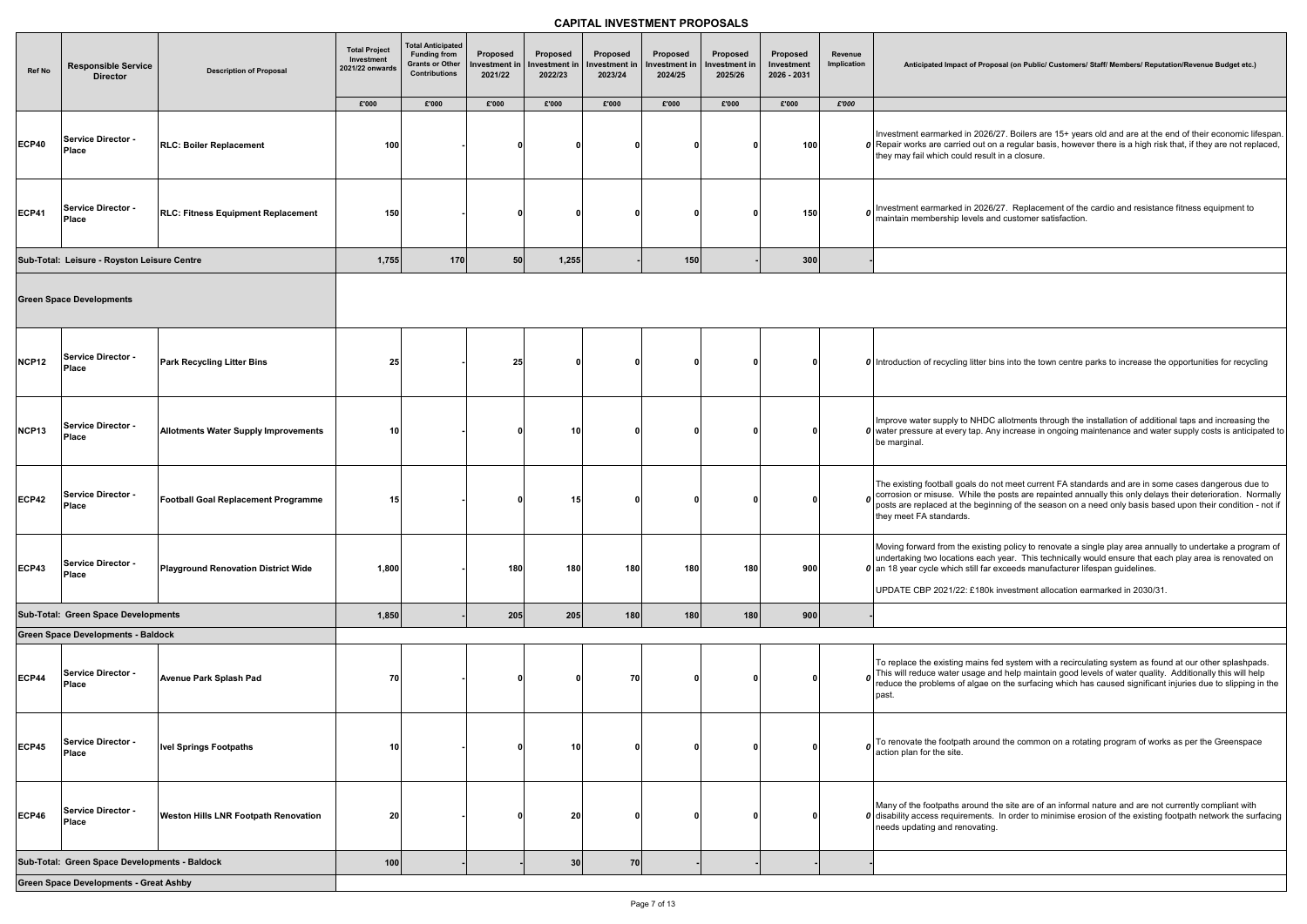**Anticipated Impact of Proposal (on Public/ Customers/ Staff/ Members/ Reputation/Revenue Budget etc.)**

126/27. Boilers are 15+ years old and are at the end of their economic lifespan. t on a regular basis, however there is a high risk that, if they are not replaced, sult in a closure.

126/27. Replacement of the cardio and resistance fitness equipment to s and customer satisfaction.

**bins into the town centre parks to increase the opportunities for recycling** 

IDC allotments through the installation of additional taps and increasing the Any increase in ongoing maintenance and water supply costs is anticipated to

Io not meet current FA standards and are in some cases dangerous due to the posts are repainted annually this only delays their deterioration. Normally eginning of the season on a need only basis based upon their condition - not if

sting policy to renovate a single play area annually to undertake a program of ach year. This technically would ensure that each play area is renovated on far exceeds manufacturer lifespan guidelines.

00k investment allocation earmarked in 2030/31.

Is fed system with a recirculating system as found at our other splashpads. the and help maintain good levels of water quality. Additionally this will help re on the surfacing which has caused significant injuries due to slipping in the

ound the common on a rotating program of works as per the Greenspace

nd the site are of an informal nature and are not currently compliant with hts. In order to minimise erosion of the existing footpath network the surfacing

| <b>Ref No</b>     | <b>Responsible Service</b><br><b>Director</b> | <b>Description of Proposal</b>              | <b>Total Project</b><br>Investment<br>2021/22 onwards | <b>Total Anticipated</b><br><b>Funding from</b><br><b>Grants or Other</b><br><b>Contributions</b> | Proposed<br>Investment in<br>2021/22 | Proposed<br>Investment in<br>2022/23 | Proposed<br>Investment in<br>2023/24 | Proposed<br>Investment in<br>2024/25 | Proposed<br>Investment in<br>2025/26 | Proposed<br>Investment<br>2026 - 2031 | Revenue<br>Implication | <b>Anticipated Impact of Propo</b>                                                                                                     |
|-------------------|-----------------------------------------------|---------------------------------------------|-------------------------------------------------------|---------------------------------------------------------------------------------------------------|--------------------------------------|--------------------------------------|--------------------------------------|--------------------------------------|--------------------------------------|---------------------------------------|------------------------|----------------------------------------------------------------------------------------------------------------------------------------|
|                   |                                               |                                             | £'000                                                 | £'000                                                                                             | £'000                                | £'000                                | £'000                                | £'000                                | £'000                                | £'000                                 | £'000                  |                                                                                                                                        |
| <b>ECP40</b>      | <b>Service Director -</b><br>Place            | <b>RLC: Boiler Replacement</b>              | 100                                                   |                                                                                                   |                                      | $\bf{0}$                             | n                                    | O                                    | n                                    | 100                                   |                        | Investment earmarked in 2026/<br>0 Repair works are carried out on<br>they may fail which could result                                 |
| <b>ECP41</b>      | Service Director -<br>Place                   | <b>RLC: Fitness Equipment Replacement</b>   | 150                                                   |                                                                                                   |                                      | 0                                    |                                      | o                                    |                                      | 150                                   | $\boldsymbol{0}$       | Investment earmarked in 2026/<br>maintain membership levels an                                                                         |
|                   | Sub-Total: Leisure - Royston Leisure Centre   |                                             | 1,755                                                 | 170                                                                                               | 50                                   | 1,255                                |                                      | 150                                  |                                      | 300                                   |                        |                                                                                                                                        |
|                   | <b>Green Space Developments</b>               |                                             |                                                       |                                                                                                   |                                      |                                      |                                      |                                      |                                      |                                       |                        |                                                                                                                                        |
| <b>NCP12</b>      | Service Director -<br>Place                   | <b>Park Recycling Litter Bins</b>           | 25                                                    |                                                                                                   | 25                                   | 0                                    |                                      | ŋ                                    |                                      |                                       |                        | <b>0</b> Introduction of recycling litter bir                                                                                          |
| NCP <sub>13</sub> | Service Director -<br><b>Place</b>            | <b>Allotments Water Supply Improvements</b> | 10                                                    |                                                                                                   |                                      | 10                                   | O                                    | ŋ                                    |                                      |                                       |                        | Improve water supply to NHDC<br>0 water pressure at every tap. An<br>be marginal.                                                      |
| <b>ECP42</b>      | Service Director -<br><b>Place</b>            | Football Goal Replacement Programme         | 15                                                    |                                                                                                   |                                      | 15                                   | O                                    | 0                                    |                                      |                                       | $\boldsymbol{0}$       | The existing football goals do no<br>corrosion or misuse. While the<br>posts are replaced at the begin<br>they meet FA standards.      |
| ECP43             | <b>Service Director -</b><br>Place            | Playground Renovation District Wide         | 1,800                                                 |                                                                                                   | 180                                  | 180                                  | 180                                  | 180                                  | 180                                  | 900                                   |                        | Moving forward from the existin<br>undertaking two locations each<br>0 an 18 year cycle which still far e<br>UPDATE CBP 2021/22: £180k |
|                   | Sub-Total: Green Space Developments           |                                             | 1,850                                                 |                                                                                                   | 205                                  | 205                                  | 180                                  | 180                                  | 180                                  | 900                                   |                        |                                                                                                                                        |
|                   | <b>Green Space Developments - Baldock</b>     |                                             |                                                       |                                                                                                   |                                      |                                      |                                      |                                      |                                      |                                       |                        |                                                                                                                                        |
| <b>ECP44</b>      | <b>Service Director -</b><br>Place            | <b>Avenue Park Splash Pad</b>               | 70                                                    |                                                                                                   |                                      | $\bf{0}$                             | 70                                   | ŋ                                    |                                      |                                       | Ω                      | To replace the existing mains fe<br>This will reduce water usage an<br>reduce the problems of algae of<br>past.                        |
| ECP45             | <b>Service Director -</b><br>Place            | <b>Ivel Springs Footpaths</b>               | 10                                                    |                                                                                                   |                                      | 10                                   |                                      | ŋ                                    | n                                    |                                       |                        | $\boldsymbol{o}$ To renovate the footpath around<br>action plan for the site.                                                          |
| <b>ECP46</b>      | Service Director -<br><b>Place</b>            | <b>Weston Hills LNR Footpath Renovation</b> | 20                                                    |                                                                                                   |                                      | 20                                   |                                      | 0                                    |                                      |                                       |                        | Many of the footpaths around th<br>$\boldsymbol{0}$ disability access requirements.<br>needs updating and renovating.                  |
|                   | Sub-Total: Green Space Developments - Baldock |                                             | 100                                                   |                                                                                                   |                                      | 30                                   | 70                                   |                                      |                                      |                                       |                        |                                                                                                                                        |
|                   | <b>Green Space Developments - Great Ashby</b> |                                             |                                                       |                                                                                                   |                                      |                                      |                                      |                                      |                                      |                                       |                        |                                                                                                                                        |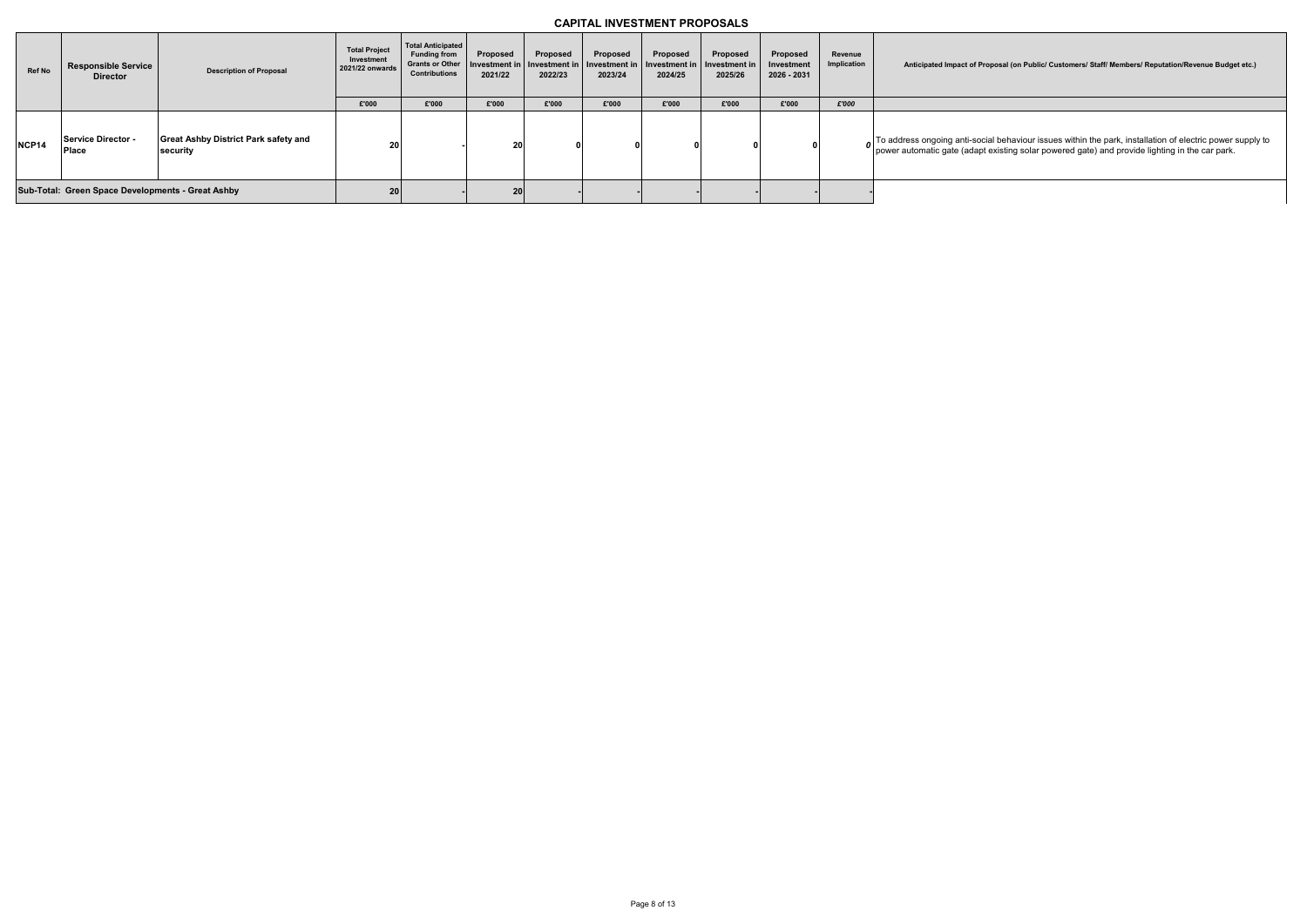| <b>Ref No</b> | <b>Responsible Service</b><br><b>Director</b>     | <b>Description of Proposal</b>                          | <b>Total Project</b><br>Investment<br>2021/22 onwards | <b>Total Anticipated</b><br><b>Funding from</b><br><b>Grants or Other</b><br><b>Contributions</b> | Proposed<br>Investment in<br>2021/22 | Proposed<br>Investment in<br>2022/23 | Proposed<br>Investment in<br>2023/24 | Proposed<br>Investment in<br>2024/25 | Proposed<br>Investment in<br>2025/26 | Proposed<br>Investment<br>2026 - 2031 | Revenue<br>Implication | <b>Anticipated Impact of Pro</b>                             |
|---------------|---------------------------------------------------|---------------------------------------------------------|-------------------------------------------------------|---------------------------------------------------------------------------------------------------|--------------------------------------|--------------------------------------|--------------------------------------|--------------------------------------|--------------------------------------|---------------------------------------|------------------------|--------------------------------------------------------------|
|               |                                                   |                                                         | £'000                                                 | £'000                                                                                             | £'000                                | £'000                                | £'000                                | £'000                                | £'000                                | £'000                                 | £'000                  |                                                              |
| NCP14         | Service Director -<br><b>Place</b>                | <b>Great Ashby District Park safety and</b><br>security | 20 <sub>1</sub>                                       |                                                                                                   | 20                                   |                                      |                                      |                                      |                                      |                                       |                        | To address ongoing anti-socia<br>power automatic gate (adapt |
|               | Sub-Total: Green Space Developments - Great Ashby |                                                         | 20 <sup>1</sup>                                       |                                                                                                   | 20 <sub>l</sub>                      |                                      |                                      |                                      |                                      |                                       |                        |                                                              |

**Anticipated Impact of Proposal (on Public/ Customers/ Staff/ Members/ Reputation/Revenue Budget etc.)**

 $\ddot{\text{r}}$ ial behaviour issues within the park, installation of electric power supply to t existing solar powered gate) and provide lighting in the car park.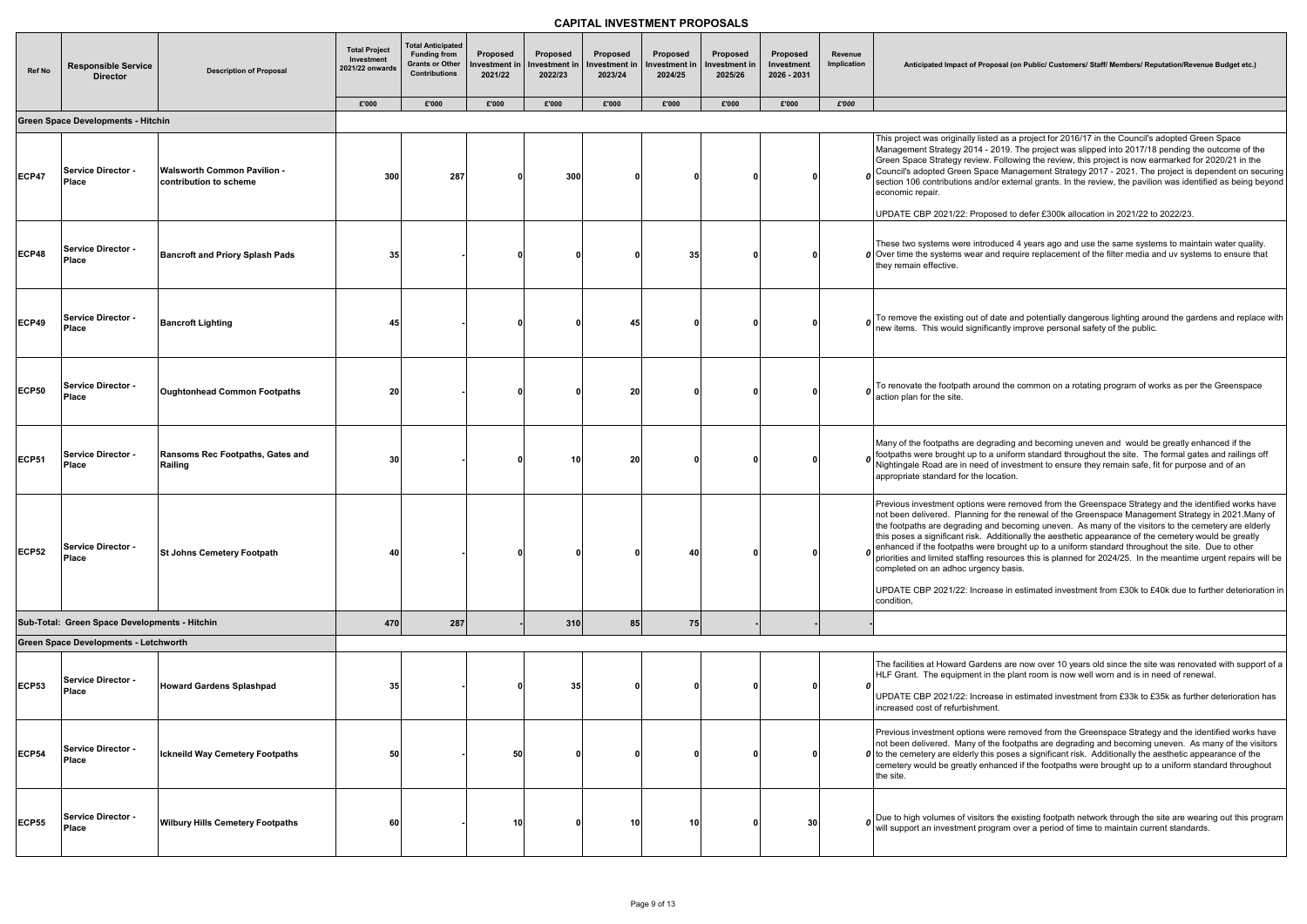**Anticipated Impact of Proposal (on Public/ Customers/ Staff/ Members/ Reputation/Revenue Budget etc.)**

ted as a project for 2016/17 in the Council's adopted Green Space - 2019. The project was slipped into 2017/18 pending the outcome of the v. Following the review, this project is now earmarked for 2020/21 in the ace Management Strategy 2017 - 2021. The project is dependent on securing d/or external grants. In the review, the pavilion was identified as being beyond

 $\frac{1}{2}$  Dosed to defer £300k allocation in 2021/22 to 2022/23.

oduced 4 years ago and use the same systems to maintain water quality. and require replacement of the filter media and uv systems to ensure that

f date and potentially dangerous lighting around the gardens and replace with ficantly improve personal safety of the public.

und the common on a rotating program of works as per the Greenspace

grading and becoming uneven and would be greatly enhanced if the  $\sigma$  a uniform standard throughout the site. The formal gates and railings off I of investment to ensure they remain safe, fit for purpose and of an location.

were removed from the Greenspace Strategy and the identified works have g for the renewal of the Greenspace Management Strategy in 2021.Many of and becoming uneven. As many of the visitors to the cemetery are elderly Additionally the aesthetic appearance of the cemetery would be greatly ere brought up to a uniform standard throughout the site. Due to other resources this is planned for 2024/25. In the meantime urgent repairs will be ncy basis.

ase in estimated investment from £30k to £40k due to further deterioration in

dens are now over 10 years old since the site was renovated with support of a in the plant room is now well worn and is in need of renewal.

ease in estimated investment from £33k to £35k as further deterioration has ient.

were removed from the Greenspace Strategy and the identified works have f the footpaths are degrading and becoming uneven. As many of the visitors his poses a significant risk. Additionally the aesthetic appearance of the hanced if the footpaths were brought up to a uniform standard throughout

ors the existing footpath network through the site are wearing out this program rogram over a period of time to maintain current standards.

| <b>Ref No</b> | <b>Responsible Service</b><br><b>Director</b> | <b>Description of Proposal</b>                               | <b>Total Project</b><br>Investment<br>2021/22 onwards<br>£'000 | <b>Total Anticipated</b><br><b>Funding from</b><br><b>Grants or Other</b><br><b>Contributions</b><br>£'000 | Proposed<br>Investment in<br>2021/22 | Proposed<br>Investment in<br>2022/23<br>£'000 | Proposed<br>Investment in<br>2023/24 | Proposed<br>Investment in<br>2024/25<br>£'000 | Proposed<br>Investment in<br>2025/26<br>£'000 | Proposed<br>Investment<br>2026 - 2031<br>£'000 | Revenue<br><b>Implication</b><br>£'000 | <b>Anticipated Impact of Pro</b>                                                                                                                                                                                                                                           |
|---------------|-----------------------------------------------|--------------------------------------------------------------|----------------------------------------------------------------|------------------------------------------------------------------------------------------------------------|--------------------------------------|-----------------------------------------------|--------------------------------------|-----------------------------------------------|-----------------------------------------------|------------------------------------------------|----------------------------------------|----------------------------------------------------------------------------------------------------------------------------------------------------------------------------------------------------------------------------------------------------------------------------|
|               | <b>Green Space Developments - Hitchin</b>     |                                                              |                                                                |                                                                                                            | £'000                                |                                               | £'000                                |                                               |                                               |                                                |                                        |                                                                                                                                                                                                                                                                            |
| <b>ECP47</b>  | Service Director -<br><b>Place</b>            | <b>Walsworth Common Pavilion -</b><br>contribution to scheme | 300                                                            | 287                                                                                                        |                                      | 300                                           | 0                                    |                                               |                                               |                                                |                                        | This project was originally list<br>Management Strategy 2014 -<br>Green Space Strategy review<br>Council's adopted Green Spa<br>section 106 contributions and<br>economic repair.<br>UPDATE CBP 2021/22: Prop                                                              |
| <b>ECP48</b>  | Service Director -<br>Place                   | <b>Bancroft and Priory Splash Pads</b>                       | 35                                                             |                                                                                                            |                                      |                                               | O                                    | 35                                            |                                               | o                                              |                                        | These two systems were intro<br>$\boldsymbol{0}$ Over time the systems wear a<br>they remain effective.                                                                                                                                                                    |
| <b>ECP49</b>  | Service Director -<br><b>Place</b>            | <b>Bancroft Lighting</b>                                     | 45                                                             |                                                                                                            | 0                                    |                                               | 45                                   |                                               |                                               | o                                              | 0                                      | To remove the existing out of<br>new items. This would signif                                                                                                                                                                                                              |
| <b>ECP50</b>  | <b>Service Director -</b><br><b>Place</b>     | <b>Oughtonhead Common Footpaths</b>                          | 20                                                             |                                                                                                            | -0                                   |                                               | 20                                   |                                               |                                               | n                                              | $\boldsymbol{0}$                       | To renovate the footpath aror<br>action plan for the site.                                                                                                                                                                                                                 |
| <b>ECP51</b>  | Service Director -<br>Place                   | Ransoms Rec Footpaths, Gates and<br>Railing                  | 30                                                             |                                                                                                            | -0                                   | 10                                            | 20                                   | n                                             |                                               | Ω                                              | $\boldsymbol{o}$                       | Many of the footpaths are de<br>footpaths were brought up to<br>Nightingale Road are in need<br>appropriate standard for the I                                                                                                                                             |
| <b>ECP52</b>  | Service Director -<br><b>Place</b>            | <b>St Johns Cemetery Footpath</b>                            | 40                                                             |                                                                                                            | 0                                    |                                               | 0                                    | 40                                            |                                               | <sup>0</sup>                                   | 0                                      | Previous investment options<br>not been delivered. Planning<br>the footpaths are degrading a<br>this poses a significant risk.<br>enhanced if the footpaths we<br>priorities and limited staffing<br>completed on an adhoc urge<br>UPDATE CBP 2021/22: Incre<br>condition, |
|               | Sub-Total: Green Space Developments - Hitchin |                                                              | 470                                                            | 287                                                                                                        |                                      | 310                                           | 85                                   | 75                                            |                                               |                                                |                                        |                                                                                                                                                                                                                                                                            |
|               | <b>Green Space Developments - Letchworth</b>  |                                                              |                                                                |                                                                                                            |                                      |                                               |                                      |                                               |                                               |                                                |                                        |                                                                                                                                                                                                                                                                            |
| <b>ECP53</b>  | Service Director -<br><b>Place</b>            | <b>Howard Gardens Splashpad</b>                              | 35                                                             |                                                                                                            |                                      | 35                                            | 0                                    |                                               |                                               | 0                                              | 0                                      | The facilities at Howard Gard<br>HLF Grant. The equipment in<br>UPDATE CBP 2021/22: Incre<br>increased cost of refurbishm                                                                                                                                                  |
| <b>ECP54</b>  | Service Director -<br>Place                   | <b>Ickneild Way Cemetery Footpaths</b>                       | 50                                                             |                                                                                                            | 50                                   |                                               | 0                                    |                                               |                                               |                                                |                                        | Previous investment options<br>not been delivered. Many of<br>$\boldsymbol{0}$ to the cemetery are elderly th<br>cemetery would be greatly er<br>the site.                                                                                                                 |
| <b>ECP55</b>  | Service Director -<br>Place                   | <b>Wilbury Hills Cemetery Footpaths</b>                      | 60                                                             |                                                                                                            | 10                                   |                                               | 10                                   | 10                                            |                                               | 30                                             |                                        | $\boldsymbol{o}$ Due to high volumes of visito<br>will support an investment pro                                                                                                                                                                                           |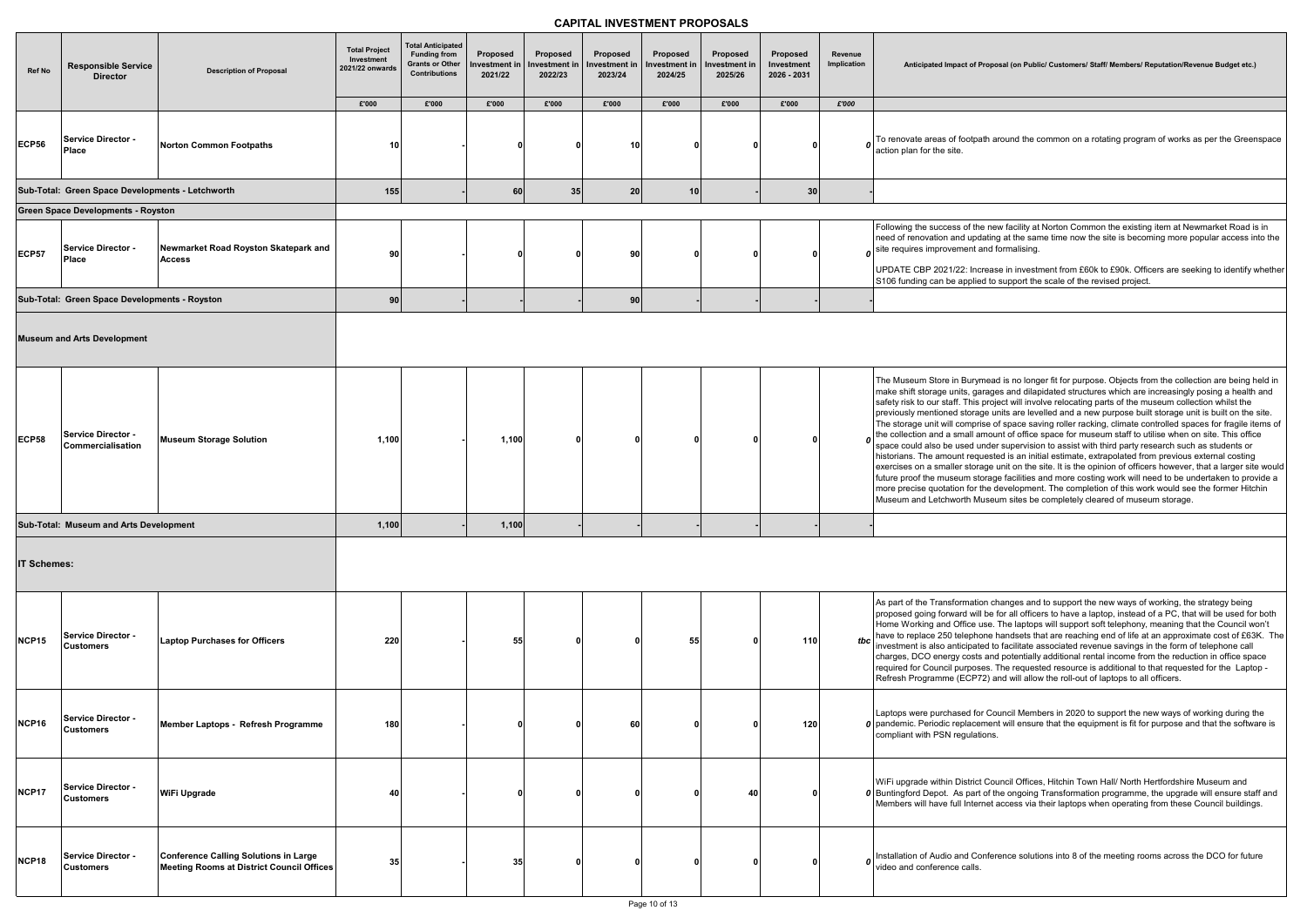**Anticipated Impact of Proposal (on Public/ Customers/ Staff/ Members/ Reputation/Revenue Budget etc.)**

th around the common on a rotating program of works as per the Greenspace

e new facility at Norton Common the existing item at Newmarket Road is in ating at the same time now the site is becoming more popular access into the nd formalising.

rease in investment from £60k to £90k. Officers are seeking to identify whether I to support the scale of the revised project.

nead is no longer fit for purpose. Objects from the collection are being held in rages and dilapidated structures which are increasingly posing a health and project will involve relocating parts of the museum collection whilst the  $\frac{1}{2}$  mentioned and a new purpose built storage unit is built on the site. se of space saving roller racking, climate controlled spaces for fragile items of mount of office space for museum staff to utilise when on site. This office nder supervision to assist with third party research such as students or lested is an initial estimate, extrapolated from previous external costing ige unit on the site. It is the opinion of officers however, that a larger site would prage facilities and more costing work will need to be undertaken to provide a he development. The completion of this work would see the former Hitchin iseum sites be completely cleared of museum storage.

In changes and to support the new ways of working, the strategy being be for all officers to have a laptop, instead of a PC, that will be used for both se. The laptops will support soft telephony, meaning that the Council won't one handsets that are reaching end of life at an approximate cost of £63K. The ed to facilitate associated revenue savings in the form of telephone call and potentially additional rental income from the reduction in office space es. The requested resource is additional to that requested for the Laptop -2) and will allow the roll-out of laptops to all officers.

Council Members in 2020 to support the new ways of working during the ment will ensure that the equipment is fit for purpose and that the software is ons.

Council Offices, Hitchin Town Hall/ North Hertfordshire Museum and of the ongoing Transformation programme, the upgrade will ensure staff and net access via their laptops when operating from these Council buildings.

nference solutions into 8 of the meeting rooms across the DCO for future

| Ref No       | <b>Responsible Service</b><br><b>Director</b>    | <b>Description of Proposal</b>                                                                   | <b>Total Project</b><br>Investment<br>2021/22 onwards<br>£'000 | <b>Total Anticipated</b><br><b>Funding from</b><br><b>Grants or Other</b><br><b>Contributions</b><br>£'000 | Proposed<br>nvestment in<br>2021/22<br>£'000 | Proposed<br>าvestment in<br>2022/23<br>£'000 | Proposed<br>าvestment in<br>2023/24<br>£'000 | Proposed<br>Investment i<br>2024/25<br>£'000 | Proposed<br>าvestment in<br>2025/26<br>£'000 | Proposed<br>Investment<br>2026 - 2031<br>£'000 | Revenue<br>Implication<br>£'000 | Anticipated Impact of Pr                                                                                                                                                                                                                                                                                                                                                                    |
|--------------|--------------------------------------------------|--------------------------------------------------------------------------------------------------|----------------------------------------------------------------|------------------------------------------------------------------------------------------------------------|----------------------------------------------|----------------------------------------------|----------------------------------------------|----------------------------------------------|----------------------------------------------|------------------------------------------------|---------------------------------|---------------------------------------------------------------------------------------------------------------------------------------------------------------------------------------------------------------------------------------------------------------------------------------------------------------------------------------------------------------------------------------------|
| ECP56        | Service Director -<br>Place                      | <b>Norton Common Footpaths</b>                                                                   | 10                                                             |                                                                                                            | 0                                            |                                              | 10                                           |                                              |                                              | 0                                              |                                 | To renovate areas of footpat<br>action plan for the site.                                                                                                                                                                                                                                                                                                                                   |
|              | Sub-Total: Green Space Developments - Letchworth |                                                                                                  | 155                                                            |                                                                                                            | 60                                           | 35                                           | 20                                           | 10                                           |                                              | 30 <sub>2</sub>                                |                                 |                                                                                                                                                                                                                                                                                                                                                                                             |
|              | <b>Green Space Developments - Royston</b>        |                                                                                                  |                                                                |                                                                                                            |                                              |                                              |                                              |                                              |                                              |                                                |                                 |                                                                                                                                                                                                                                                                                                                                                                                             |
| ECP57        | Service Director -<br><b>Place</b>               | Newmarket Road Royston Skatepark and<br><b>Access</b>                                            | 90                                                             |                                                                                                            | 0                                            |                                              | 90                                           |                                              |                                              | 0                                              |                                 | Following the success of the<br>need of renovation and upda<br>$\boldsymbol{o}$ site requires improvement are<br>UPDATE CBP 2021/22: Incr<br>S106 funding can be applied                                                                                                                                                                                                                    |
|              | Sub-Total: Green Space Developments - Royston    |                                                                                                  | 90                                                             |                                                                                                            |                                              |                                              | 90                                           |                                              |                                              |                                                |                                 |                                                                                                                                                                                                                                                                                                                                                                                             |
|              | <b>Museum and Arts Development</b>               |                                                                                                  |                                                                |                                                                                                            |                                              |                                              |                                              |                                              |                                              |                                                |                                 |                                                                                                                                                                                                                                                                                                                                                                                             |
| ECP58        | Service Director -<br>Commercialisation          | <b>Museum Storage Solution</b>                                                                   | 1,100                                                          |                                                                                                            | 1,100                                        | O                                            |                                              |                                              |                                              | 0                                              | $\mathbf{a}$                    | The Museum Store in Burym<br>make shift storage units, gar<br>safety risk to our staff. This p<br>previously mentioned storage<br>The storage unit will compris<br>the collection and a small an<br>space could also be used un<br>historians. The amount reque<br>exercises on a smaller stora<br>future proof the museum sto<br>more precise quotation for th<br>Museum and Letchworth Mu |
|              | Sub-Total: Museum and Arts Development           |                                                                                                  | 1,100                                                          |                                                                                                            | 1,100                                        |                                              |                                              |                                              |                                              |                                                |                                 |                                                                                                                                                                                                                                                                                                                                                                                             |
| IT Schemes:  |                                                  |                                                                                                  |                                                                |                                                                                                            |                                              |                                              |                                              |                                              |                                              |                                                |                                 |                                                                                                                                                                                                                                                                                                                                                                                             |
| <b>NCP15</b> | Service Director -<br><b>Customers</b>           | <b>Laptop Purchases for Officers</b>                                                             | 220                                                            |                                                                                                            | 55                                           |                                              |                                              | 55                                           |                                              | 110                                            | tbc                             | As part of the Transformation<br>proposed going forward will I<br>Home Working and Office us<br>have to replace 250 telephor<br>investment is also anticipate<br>charges, DCO energy costs<br>required for Council purpose<br>Refresh Programme (ECP72                                                                                                                                      |
| NCP16        | Service Director -<br><b>Customers</b>           | Member Laptops - Refresh Programme                                                               | 180                                                            |                                                                                                            | 0                                            |                                              | 60                                           |                                              |                                              | 120                                            |                                 | Laptops were purchased for<br>0 pandemic. Periodic replacen<br>compliant with PSN regulatic                                                                                                                                                                                                                                                                                                 |
| NCP17        | <b>Service Director -</b><br><b>Customers</b>    | WiFi Upgrade                                                                                     | 40                                                             |                                                                                                            | 0                                            |                                              | n                                            |                                              | 40                                           | $\mathbf{0}$                                   |                                 | WiFi upgrade within District (<br><b>0</b> Buntingford Depot. As part of<br>Members will have full Intern                                                                                                                                                                                                                                                                                   |
| NCP18        | Service Director -<br><b>Customers</b>           | <b>Conference Calling Solutions in Large</b><br><b>Meeting Rooms at District Council Offices</b> | 35                                                             |                                                                                                            | 35                                           |                                              | 0                                            | n                                            |                                              |                                                |                                 | Installation of Audio and Cor<br>video and conference calls.                                                                                                                                                                                                                                                                                                                                |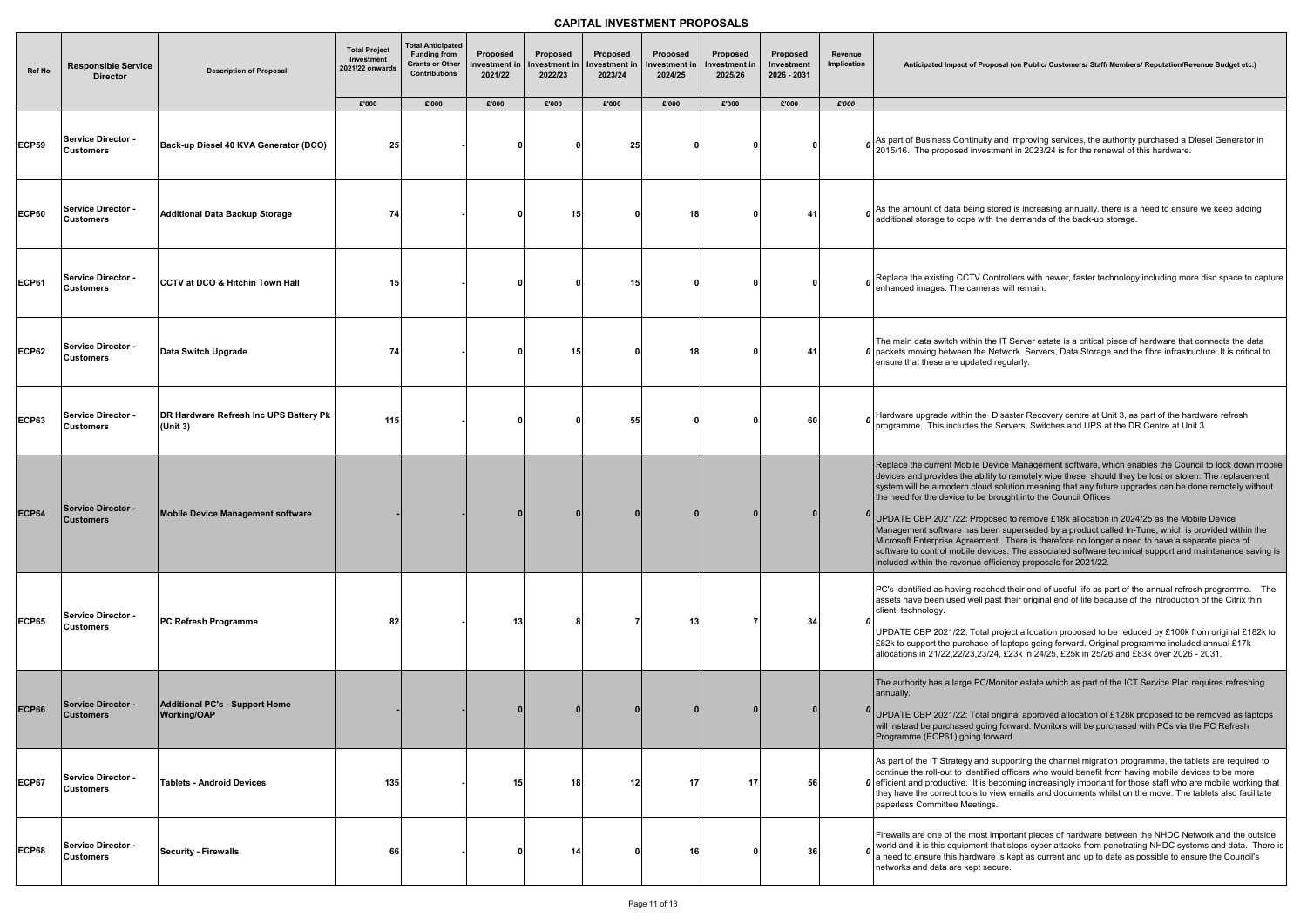| <b>Ref No</b> | <b>Responsible Service</b><br><b>Director</b> | <b>Description of Proposal</b>                       | <b>Total Project</b><br>Investment<br>2021/22 onwards | <b>Total Anticipated</b><br><b>Funding from</b><br><b>Grants or Other</b><br><b>Contributions</b> | Proposed<br>Investment in<br>2021/22 | Proposed<br>Investment i<br>2022/23 | Proposed<br>nvestment in<br>2023/24 | Proposed<br>Investment in<br>2024/25 | Proposed<br>nvestment in<br>2025/26 | Proposed<br>Investment<br>2026 - 2031 | Revenue<br>Implication | Anticipated Impact of Pr                                                                                                                                                                                                                                                                          |
|---------------|-----------------------------------------------|------------------------------------------------------|-------------------------------------------------------|---------------------------------------------------------------------------------------------------|--------------------------------------|-------------------------------------|-------------------------------------|--------------------------------------|-------------------------------------|---------------------------------------|------------------------|---------------------------------------------------------------------------------------------------------------------------------------------------------------------------------------------------------------------------------------------------------------------------------------------------|
|               |                                               |                                                      | £'000                                                 | £'000                                                                                             | £'000                                | £'000                               | £'000                               | £'000                                | £'000                               | £'000                                 | £'000                  |                                                                                                                                                                                                                                                                                                   |
| <b>ECP59</b>  | <b>Service Director -</b><br><b>Customers</b> | Back-up Diesel 40 KVA Generator (DCO)                | 25                                                    |                                                                                                   |                                      |                                     | 25                                  |                                      |                                     |                                       |                        | As part of Business Continui<br>2015/16. The proposed inve                                                                                                                                                                                                                                        |
| <b>ECP60</b>  | <b>Service Director -</b><br><b>Customers</b> | <b>Additional Data Backup Storage</b>                | 74                                                    |                                                                                                   |                                      | 15 <sub>l</sub>                     |                                     | 18                                   |                                     | 41                                    | n                      | As the amount of data being<br>additional storage to cope w                                                                                                                                                                                                                                       |
| <b>ECP61</b>  | Service Director -<br><b>Customers</b>        | <b>CCTV at DCO &amp; Hitchin Town Hall</b>           | 15                                                    |                                                                                                   |                                      |                                     | 15                                  |                                      |                                     | $\Omega$                              | 0                      | Replace the existing CCTV<br>enhanced images. The cam                                                                                                                                                                                                                                             |
| <b>ECP62</b>  | <b>Service Director -</b><br><b>Customers</b> | Data Switch Upgrade                                  | 74                                                    |                                                                                                   |                                      | 15                                  | 0                                   | 18                                   |                                     | 41                                    |                        | The main data switch within<br>0 packets moving between the<br>ensure that these are update                                                                                                                                                                                                       |
| <b>ECP63</b>  | Service Director -<br><b>Customers</b>        | DR Hardware Refresh Inc UPS Battery Pk<br>(Unit 3)   | 115                                                   |                                                                                                   |                                      |                                     | 55                                  |                                      |                                     | 60                                    |                        | Hardware upgrade within the<br>programme. This includes tl                                                                                                                                                                                                                                        |
| <b>ECP64</b>  | <b>Service Director -</b><br><b>Customers</b> | Mobile Device Management software                    |                                                       |                                                                                                   |                                      |                                     |                                     |                                      |                                     | $\mathbf{0}$                          |                        | Replace the current Mobile I<br>devices and provides the ab<br>system will be a modern clou<br>the need for the device to be<br><sup>0</sup> UPDATE CBP 2021/22: Prop<br>Management software has b<br>Microsoft Enterprise Agreem<br>software to control mobile de<br>included within the revenue |
| <b>ECP65</b>  | <b>Service Director -</b><br><b>Customers</b> | PC Refresh Programme                                 | 82                                                    |                                                                                                   | 13                                   |                                     |                                     | 13                                   |                                     | 34                                    |                        | PC's identified as having rea<br>assets have been used well<br>client technology.<br>UPDATE CBP 2021/22: Tota<br>£82k to support the purchas<br>allocations in 21/22,22/23,23                                                                                                                     |
| <b>ECP66</b>  | <b>Service Director -</b><br><b>Customers</b> | Additional PC's - Support Home<br><b>Working/OAP</b> |                                                       |                                                                                                   |                                      |                                     |                                     |                                      |                                     | $\mathbf{0}$                          |                        | The authority has a large PC<br>annually.<br>UPDATE CBP 2021/22: Tota<br>will instead be purchased go<br>Programme (ECP61) going 1                                                                                                                                                                |
| <b>ECP67</b>  | <b>Service Director -</b><br><b>Customers</b> | <b>Tablets - Android Devices</b>                     | 135                                                   |                                                                                                   | 15                                   | 18                                  | 12                                  | 17                                   | 17                                  | 56                                    |                        | As part of the IT Strategy an<br>continue the roll-out to identi<br><b>0</b> efficient and productive. It is<br>they have the correct tools to<br>paperless Committee Meetir                                                                                                                      |
| <b>ECP68</b>  | <b>Service Director -</b><br><b>Customers</b> | <b>Security - Firewalls</b>                          | 66                                                    |                                                                                                   |                                      | 14                                  | 0                                   | 16                                   |                                     | 36                                    |                        | Firewalls are one of the mos<br>world and it is this equipmen<br>a need to ensure this hardwa<br>networks and data are kept s                                                                                                                                                                     |

roposal (on Public/ Customers/ Staff/ Members/ Reputation/Revenue Budget etc.)

ity and improving services, the authority purchased a Diesel Generator in estment in 2023/24 is for the renewal of this hardware.

) stored is increasing annually, there is a need to ensure we keep adding with the demands of the back-up storage.

Controllers with newer, faster technology including more disc space to capture eras will remain

the IT Server estate is a critical piece of hardware that connects the data e Network Servers, Data Storage and the fibre infrastructure. It is critical to ed regularly.

e Disaster Recovery centre at Unit 3, as part of the hardware refresh the Servers, Switches and UPS at the DR Centre at Unit 3.

Device Management software, which enables the Council to lock down mobile ility to remotely wipe these, should they be lost or stolen. The replacement ud solution meaning that any future upgrades can be done remotely without the need the council Offices

posed to remove £18k allocation in 2024/25 as the Mobile Device .<br>been superseded by a product called In-Tune, which is provided within the nent. There is therefore no longer a need to have a separate piece of evices. The associated software technical support and maintenance saving is efficiency proposals for 2021/22.

ached their end of useful life as part of the annual refresh programme. The past their original end of life because of the introduction of the Citrix thin

al project allocation proposed to be reduced by £100k from original £182k to e of laptops going forward. Original programme included annual £17k  $3/24$ , £23k in 24/25, £25k in 25/26 and £83k over 2026 - 2031.

C/Monitor estate which as part of the ICT Service Plan requires refreshing

al original approved allocation of £128k proposed to be removed as laptops bing forward. Monitors will be purchased with PCs via the PC Refresh forward

d supporting the channel migration programme, the tablets are required to tified officers who would benefit from having mobile devices to be more s becoming increasingly important for those staff who are mobile working that o view emails and documents whilst on the move. The tablets also facilitate ngs.

st important pieces of hardware between the NHDC Network and the outside nt that stops cyber attacks from penetrating NHDC systems and data. There is rare is kept as current and up to date as possible to ensure the Council's secure.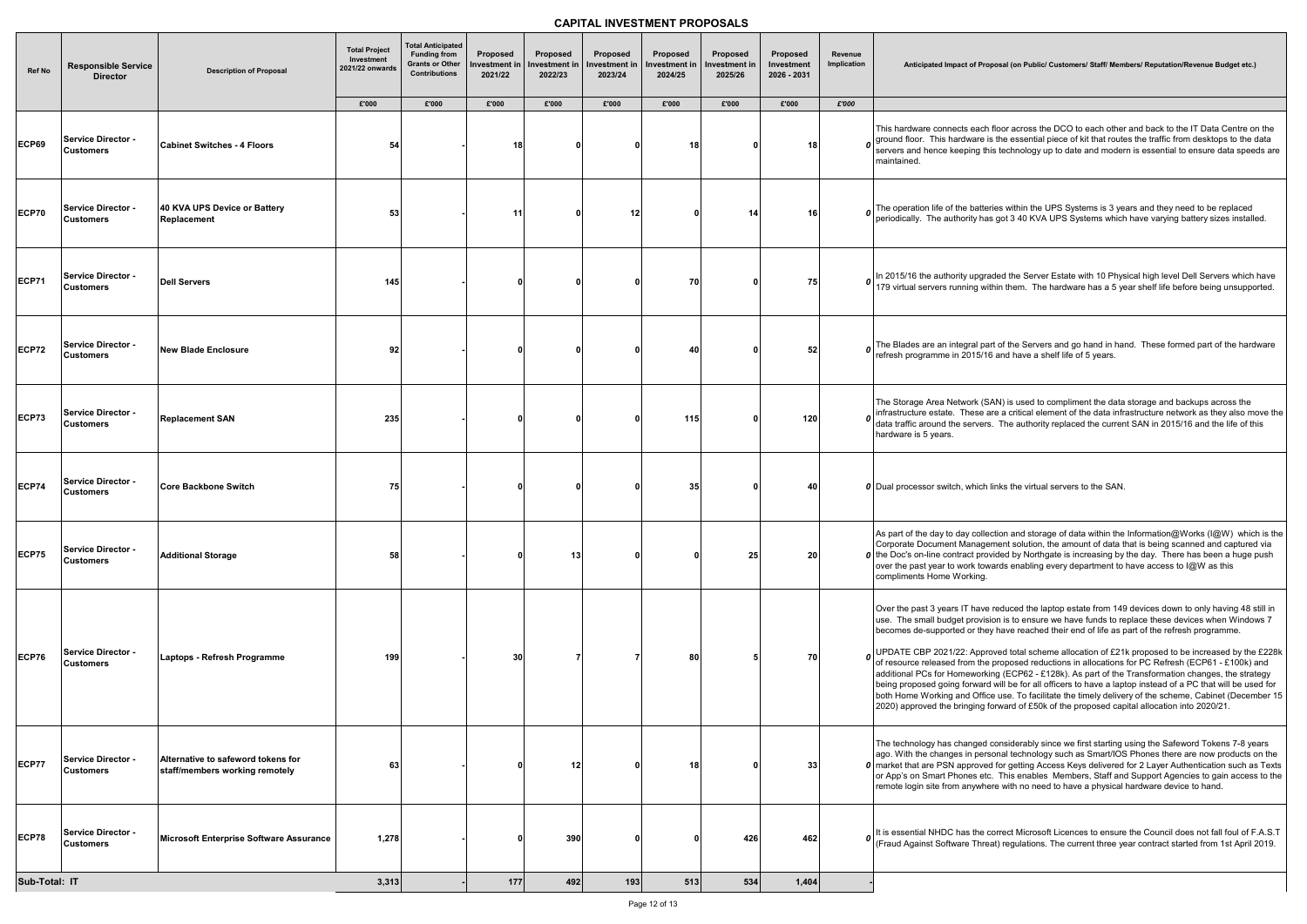#### **Anticipated Impact of Proposal (on Public/ Customers/ Staff/ Members/ Reputation/Revenue Budget etc.)**

th floor across the DCO to each other and back to the IT Data Centre on the  $e$  is the essential piece of kit that routes the traffic from desktops to the data  $\overline{\phantom{a}}$ this technology up to date and modern is essential to ensure data speeds are

teries within the UPS Systems is 3 years and they need to be replaced as got 3 40 KVA UPS Systems which have varying battery sizes installed.

raded the Server Estate with 10 Physical high level Dell Servers which have within them. The hardware has a 5 year shelf life before being unsupported.

bart of the Servers and go hand in hand. These formed part of the hardware 16 and have a shelf life of 5 years.

(SAN) is used to compliment the data storage and backups across the  $\alpha$  are a critical element of the data infrastructure network as they also move the  $\cdot$ rs. The authority replaced the current SAN in 2015/16 and the life of this

lection and storage of data within the Information@Works (I@W) which is the gement solution, the amount of data that is being scanned and captured via rovided by Northgate is increasing by the day. There has been a huge push owards enabling every department to have access to I@W as this

ve reduced the laptop estate from 149 devices down to only having 48 still in ision is to ensure we have funds to replace these devices when Windows 7 hey have reached their end of life as part of the refresh programme.

proved total scheme allocation of  $\pounds 21$ k proposed to be increased by the  $\pounds 228$ k ne proposed reductions in allocations for PC Refresh (ECP61 - £100k) and rking (ECP62 - £128k). As part of the Transformation changes, the strategy rd will be for all officers to have a laptop instead of a PC that will be used for fice use. To facilitate the timely delivery of the scheme, Cabinet (December 15  $_1$  forward of £50k of the proposed capital allocation into 2020/21.

I considerably since we first starting using the Safeword Tokens 7-8 years rsonal technology such as Smart/IOS Phones there are now products on the red for getting Access Keys delivered for 2 Layer Authentication such as Texts etc. This enables Members, Staff and Support Agencies to gain access to the here with no need to have a physical hardware device to hand.

It correct Microsoft Licences to ensure the Council does not fall foul of F.A.S.T reat) regulations. The current three year contract started from 1st April 2019.

| Ref No                 | <b>Responsible Service</b><br><b>Director</b> | <b>Description of Proposal</b>                                       | <b>Total Project</b><br>Investment<br>2021/22 onwards | <b>Total Anticipated</b><br><b>Funding from</b><br><b>Grants or Other</b><br><b>Contributions</b> | Proposed<br>nvestment in<br>2021/22 | Proposed<br>Investment in<br>2022/23 | Proposed<br><b>Investment in</b><br>2023/24 | Proposed<br>Investment in<br>2024/25 | Proposed<br>Investment in<br>2025/26 | <b>Proposed</b><br>Investment<br>2026 - 2031 | Revenue<br>Implication | Anticipated Impact of Proposal (on Public/ Customers/ Staff/ Mem                                                                                                                                                                                                                                                                                                                                                                                                                                                                                                                                                           |
|------------------------|-----------------------------------------------|----------------------------------------------------------------------|-------------------------------------------------------|---------------------------------------------------------------------------------------------------|-------------------------------------|--------------------------------------|---------------------------------------------|--------------------------------------|--------------------------------------|----------------------------------------------|------------------------|----------------------------------------------------------------------------------------------------------------------------------------------------------------------------------------------------------------------------------------------------------------------------------------------------------------------------------------------------------------------------------------------------------------------------------------------------------------------------------------------------------------------------------------------------------------------------------------------------------------------------|
|                        |                                               |                                                                      | £'000                                                 | £'000                                                                                             | £'000                               | £'000                                | £'000                                       | £'000                                | £'000                                | £'000                                        | £'000                  |                                                                                                                                                                                                                                                                                                                                                                                                                                                                                                                                                                                                                            |
| <b>ECP69</b>           | Service Director -<br><b>Customers</b>        | <b>Cabinet Switches - 4 Floors</b>                                   | 54                                                    |                                                                                                   | 18                                  |                                      |                                             | 18                                   |                                      | 18                                           |                        | This hardware connects each floor across the DCO to each othe<br>o ground floor. This hardware is the essential piece of kit that route<br>servers and hence keeping this technology up to date and mode<br>maintained.                                                                                                                                                                                                                                                                                                                                                                                                    |
| <b>ECP70</b>           | Service Director -<br> Customers              | 40 KVA UPS Device or Battery<br>Replacement                          | 53                                                    |                                                                                                   | 11                                  |                                      | 12                                          |                                      | 14                                   | 16                                           |                        | The operation life of the batteries within the UPS Systems is 3 yer periodically. The authority has got 3 40 KVA UPS Systems which                                                                                                                                                                                                                                                                                                                                                                                                                                                                                         |
| <b>ECP71</b>           | Service Director -<br> Customers              | <b>Dell Servers</b>                                                  | 145                                                   |                                                                                                   |                                     |                                      |                                             | 70I                                  |                                      | 75                                           |                        | $\boldsymbol{o}$ In 2015/16 the authority upgraded the Server Estate with 10 Physolve 179 virtual servers running within them. The hardware has a 5 y                                                                                                                                                                                                                                                                                                                                                                                                                                                                      |
| <b>ECP72</b>           | Service Director -<br><b>Customers</b>        | <b>New Blade Enclosure</b>                                           | 92                                                    |                                                                                                   |                                     |                                      |                                             | 40                                   |                                      | 52                                           |                        | The Blades are an integral part of the Servers and go hand in ha<br>refresh programme in 2015/16 and have a shelf life of 5 years.                                                                                                                                                                                                                                                                                                                                                                                                                                                                                         |
| ECP73                  | Service Director -<br><b>Customers</b>        | <b>Replacement SAN</b>                                               | 235                                                   |                                                                                                   |                                     |                                      |                                             | 115                                  |                                      | 120                                          |                        | The Storage Area Network (SAN) is used to compliment the data<br>infrastructure estate. These are a critical element of the data infr<br>data traffic around the servers. The authority replaced the currer<br>hardware is 5 years.                                                                                                                                                                                                                                                                                                                                                                                        |
| <b>ECP74</b>           | <b>Service Director -</b><br><b>Customers</b> | <b>Core Backbone Switch</b>                                          | 75                                                    |                                                                                                   |                                     |                                      |                                             | 35 <sub>1</sub>                      |                                      | 40                                           |                        | <b>0</b> Dual processor switch, which links the virtual servers to the SAN                                                                                                                                                                                                                                                                                                                                                                                                                                                                                                                                                 |
| <b>ECP75</b>           | Service Director -<br> Customers              | <b>Additional Storage</b>                                            | 58                                                    |                                                                                                   |                                     | 13                                   |                                             |                                      | 25 <sub>1</sub>                      | 20 <sub>l</sub>                              |                        | As part of the day to day collection and storage of data within the<br>Corporate Document Management solution, the amount of data t<br>O the Doc's on-line contract provided by Northgate is increasing by<br>over the past year to work towards enabling every department to<br>compliments Home Working.                                                                                                                                                                                                                                                                                                                 |
| <b>ECP76</b>           | Service Director -<br> Customers              | Laptops - Refresh Programme                                          | 199                                                   |                                                                                                   | 30                                  |                                      |                                             | 80                                   |                                      | 70                                           | 0                      | Over the past 3 years IT have reduced the laptop estate from 149<br>use. The small budget provision is to ensure we have funds to re<br>becomes de-supported or they have reached their end of life as<br>UPDATE CBP 2021/22: Approved total scheme allocation of £21<br>of resource released from the proposed reductions in allocations<br>additional PCs for Homeworking (ECP62 - £128k). As part of the<br>being proposed going forward will be for all officers to have a lap<br>both Home Working and Office use. To facilitate the timely delive<br>2020) approved the bringing forward of £50k of the proposed cap |
| ECP77                  | Service Director -<br><b>Customers</b>        | Alternative to safeword tokens for<br>staff/members working remotely | 63                                                    |                                                                                                   |                                     | 12                                   |                                             | 18                                   |                                      | 33                                           |                        | The technology has changed considerably since we first starting<br>ago. With the changes in personal technology such as Smart/IOS<br>0 market that are PSN approved for getting Access Keys delivered<br>or App's on Smart Phones etc. This enables Members, Staff an<br>remote login site from anywhere with no need to have a physical                                                                                                                                                                                                                                                                                   |
| ECP78                  | Service Director -<br><b>Customers</b>        | Microsoft Enterprise Software Assurance                              | 1,278                                                 |                                                                                                   |                                     | 390                                  |                                             |                                      | 426                                  | 462                                          |                        | , It is essential NHDC has the correct Microsoft Licences to ensure<br>(Fraud Against Software Threat) regulations. The current three y                                                                                                                                                                                                                                                                                                                                                                                                                                                                                    |
| Sub-Total: IT<br>3,313 |                                               |                                                                      |                                                       |                                                                                                   | 177                                 | 492                                  | 193                                         | 513                                  | 534                                  | 1,404                                        |                        |                                                                                                                                                                                                                                                                                                                                                                                                                                                                                                                                                                                                                            |